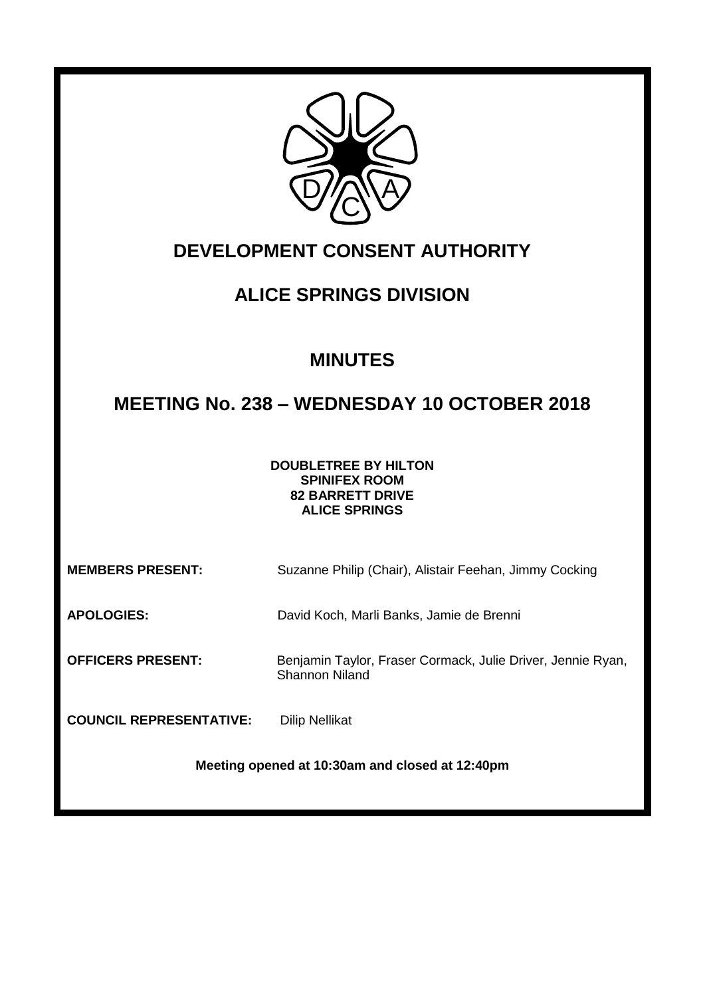

# **DEVELOPMENT CONSENT AUTHORITY**

# **ALICE SPRINGS DIVISION**

# **MINUTES**

# **MEETING No. 238 – WEDNESDAY 10 OCTOBER 2018**

**DOUBLETREE BY HILTON SPINIFEX ROOM 82 BARRETT DRIVE ALICE SPRINGS**

**MEMBERS PRESENT:** Suzanne Philip (Chair), Alistair Feehan, Jimmy Cocking

**APOLOGIES:** David Koch, Marli Banks, Jamie de Brenni

**OFFICERS PRESENT:** Benjamin Taylor, Fraser Cormack, Julie Driver, Jennie Ryan, Shannon Niland

**COUNCIL REPRESENTATIVE:** Dilip Nellikat

**Meeting opened at 10:30am and closed at 12:40pm**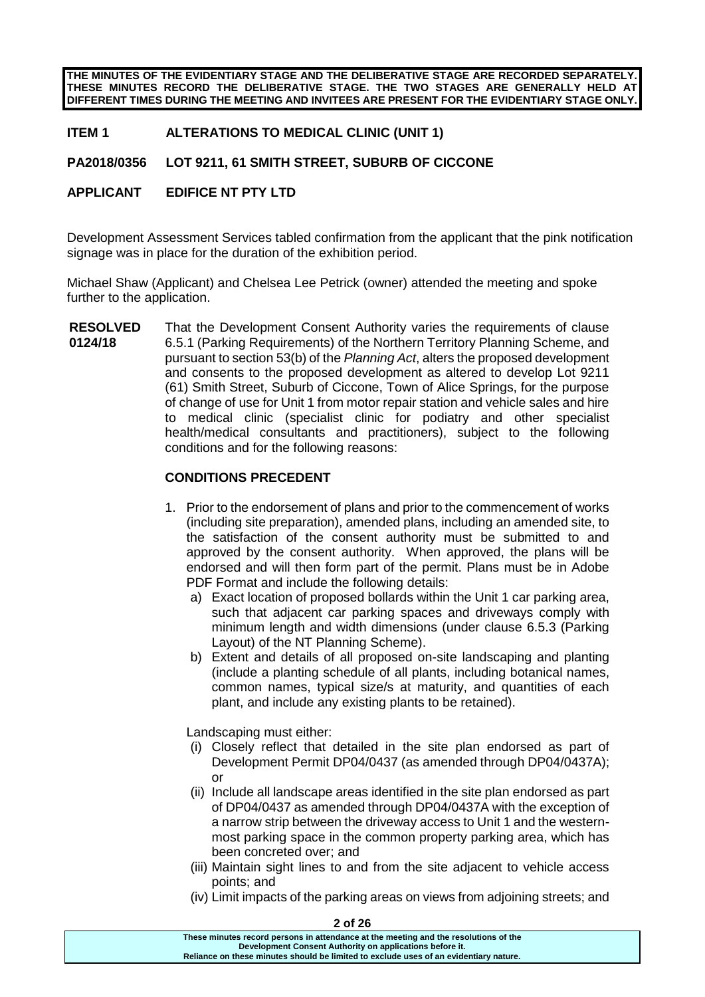**THE MINUTES OF THE EVIDENTIARY STAGE AND THE DELIBERATIVE STAGE ARE RECORDED SEPARATELY. THESE MINUTES RECORD THE DELIBERATIVE STAGE. THE TWO STAGES ARE GENERALLY HELD AT DIFFERENT TIMES DURING THE MEETING AND INVITEES ARE PRESENT FOR THE EVIDENTIARY STAGE ONLY.**

### **ITEM 1 ALTERATIONS TO MEDICAL CLINIC (UNIT 1)**

# **PA2018/0356 LOT 9211, 61 SMITH STREET, SUBURB OF CICCONE**

## **APPLICANT EDIFICE NT PTY LTD**

Development Assessment Services tabled confirmation from the applicant that the pink notification signage was in place for the duration of the exhibition period.

Michael Shaw (Applicant) and Chelsea Lee Petrick (owner) attended the meeting and spoke further to the application.

**RESOLVED 0124/18** That the Development Consent Authority varies the requirements of clause 6.5.1 (Parking Requirements) of the Northern Territory Planning Scheme, and pursuant to section 53(b) of the *Planning Act*, alters the proposed development and consents to the proposed development as altered to develop Lot 9211 (61) Smith Street, Suburb of Ciccone, Town of Alice Springs, for the purpose of change of use for Unit 1 from motor repair station and vehicle sales and hire to medical clinic (specialist clinic for podiatry and other specialist health/medical consultants and practitioners), subject to the following conditions and for the following reasons:

### **CONDITIONS PRECEDENT**

- 1. Prior to the endorsement of plans and prior to the commencement of works (including site preparation), amended plans, including an amended site, to the satisfaction of the consent authority must be submitted to and approved by the consent authority. When approved, the plans will be endorsed and will then form part of the permit. Plans must be in Adobe PDF Format and include the following details:
	- a) Exact location of proposed bollards within the Unit 1 car parking area, such that adjacent car parking spaces and driveways comply with minimum length and width dimensions (under clause 6.5.3 (Parking Layout) of the NT Planning Scheme).
	- b) Extent and details of all proposed on-site landscaping and planting (include a planting schedule of all plants, including botanical names, common names, typical size/s at maturity, and quantities of each plant, and include any existing plants to be retained).

Landscaping must either:

- (i) Closely reflect that detailed in the site plan endorsed as part of Development Permit DP04/0437 (as amended through DP04/0437A); or
- (ii) Include all landscape areas identified in the site plan endorsed as part of DP04/0437 as amended through DP04/0437A with the exception of a narrow strip between the driveway access to Unit 1 and the westernmost parking space in the common property parking area, which has been concreted over; and
- (iii) Maintain sight lines to and from the site adjacent to vehicle access points; and
- (iv) Limit impacts of the parking areas on views from adjoining streets; and

**These minutes record persons in attendance at the meeting and the resolutions of the Development Consent Authority on applications before it. Reliance on these minutes should be limited to exclude uses of an evidentiary nature.**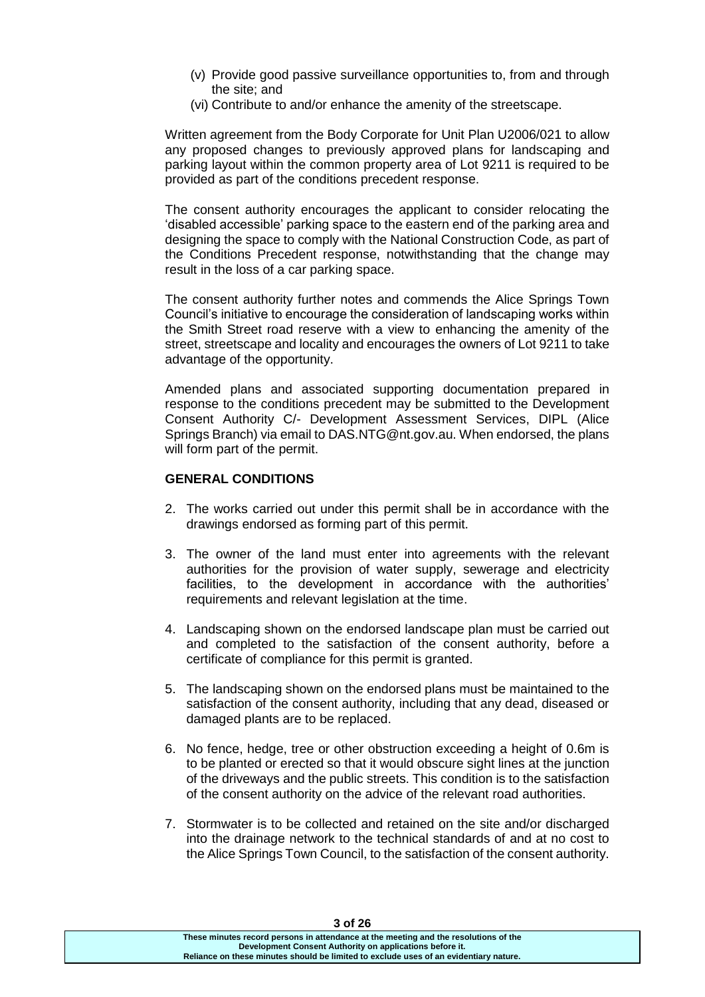- (v) Provide good passive surveillance opportunities to, from and through the site; and
- (vi) Contribute to and/or enhance the amenity of the streetscape.

Written agreement from the Body Corporate for Unit Plan U2006/021 to allow any proposed changes to previously approved plans for landscaping and parking layout within the common property area of Lot 9211 is required to be provided as part of the conditions precedent response.

The consent authority encourages the applicant to consider relocating the 'disabled accessible' parking space to the eastern end of the parking area and designing the space to comply with the National Construction Code, as part of the Conditions Precedent response, notwithstanding that the change may result in the loss of a car parking space.

The consent authority further notes and commends the Alice Springs Town Council's initiative to encourage the consideration of landscaping works within the Smith Street road reserve with a view to enhancing the amenity of the street, streetscape and locality and encourages the owners of Lot 9211 to take advantage of the opportunity.

Amended plans and associated supporting documentation prepared in response to the conditions precedent may be submitted to the Development Consent Authority C/- Development Assessment Services, DIPL (Alice Springs Branch) via email to DAS.NTG@nt.gov.au. When endorsed, the plans will form part of the permit.

#### **GENERAL CONDITIONS**

- 2. The works carried out under this permit shall be in accordance with the drawings endorsed as forming part of this permit.
- 3. The owner of the land must enter into agreements with the relevant authorities for the provision of water supply, sewerage and electricity facilities, to the development in accordance with the authorities' requirements and relevant legislation at the time.
- 4. Landscaping shown on the endorsed landscape plan must be carried out and completed to the satisfaction of the consent authority, before a certificate of compliance for this permit is granted.
- 5. The landscaping shown on the endorsed plans must be maintained to the satisfaction of the consent authority, including that any dead, diseased or damaged plants are to be replaced.
- 6. No fence, hedge, tree or other obstruction exceeding a height of 0.6m is to be planted or erected so that it would obscure sight lines at the junction of the driveways and the public streets. This condition is to the satisfaction of the consent authority on the advice of the relevant road authorities.
- 7. Stormwater is to be collected and retained on the site and/or discharged into the drainage network to the technical standards of and at no cost to the Alice Springs Town Council, to the satisfaction of the consent authority.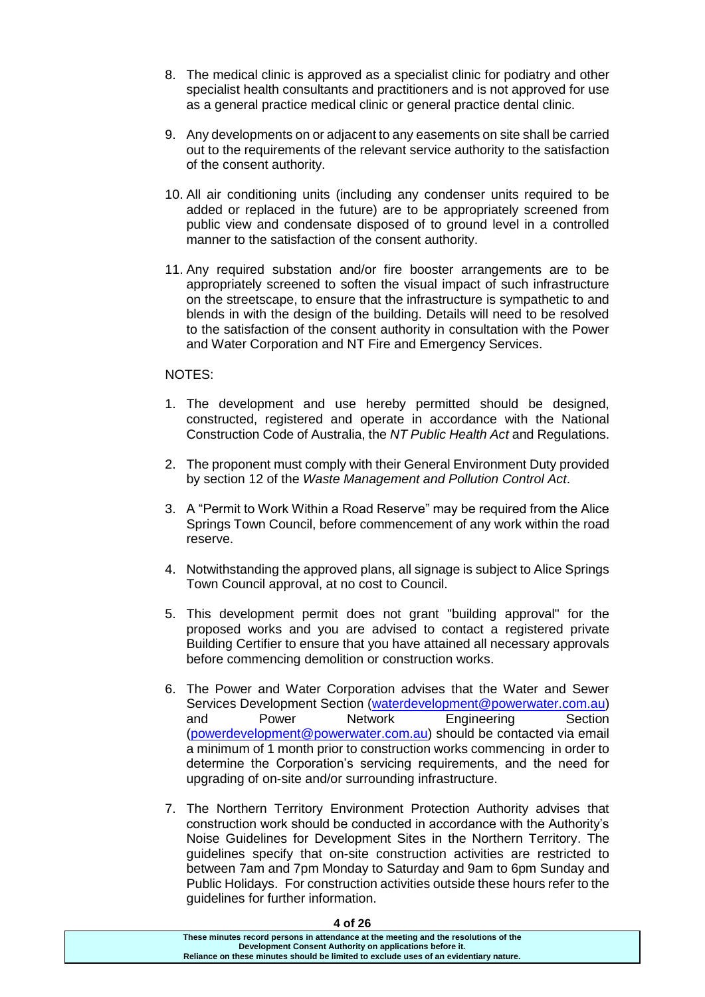- 8. The medical clinic is approved as a specialist clinic for podiatry and other specialist health consultants and practitioners and is not approved for use as a general practice medical clinic or general practice dental clinic.
- 9. Any developments on or adjacent to any easements on site shall be carried out to the requirements of the relevant service authority to the satisfaction of the consent authority.
- 10. All air conditioning units (including any condenser units required to be added or replaced in the future) are to be appropriately screened from public view and condensate disposed of to ground level in a controlled manner to the satisfaction of the consent authority.
- 11. Any required substation and/or fire booster arrangements are to be appropriately screened to soften the visual impact of such infrastructure on the streetscape, to ensure that the infrastructure is sympathetic to and blends in with the design of the building. Details will need to be resolved to the satisfaction of the consent authority in consultation with the Power and Water Corporation and NT Fire and Emergency Services.

#### NOTES:

- 1. The development and use hereby permitted should be designed, constructed, registered and operate in accordance with the National Construction Code of Australia, the *NT Public Health Act* and Regulations.
- 2. The proponent must comply with their General Environment Duty provided by section 12 of the *Waste Management and Pollution Control Act*.
- 3. A "Permit to Work Within a Road Reserve" may be required from the Alice Springs Town Council, before commencement of any work within the road reserve.
- 4. Notwithstanding the approved plans, all signage is subject to Alice Springs Town Council approval, at no cost to Council.
- 5. This development permit does not grant "building approval" for the proposed works and you are advised to contact a registered private Building Certifier to ensure that you have attained all necessary approvals before commencing demolition or construction works.
- 6. The Power and Water Corporation advises that the Water and Sewer Services Development Section [\(waterdevelopment@powerwater.com.au\)](mailto:waterdevelopment@powerwater.com.au) and Power Network Engineering Section [\(powerdevelopment@powerwater.com.au\)](mailto:powerdevelopment@powerwater.com.au) should be contacted via email a minimum of 1 month prior to construction works commencing in order to determine the Corporation's servicing requirements, and the need for upgrading of on-site and/or surrounding infrastructure.
- 7. The Northern Territory Environment Protection Authority advises that construction work should be conducted in accordance with the Authority's Noise Guidelines for Development Sites in the Northern Territory. The guidelines specify that on-site construction activities are restricted to between 7am and 7pm Monday to Saturday and 9am to 6pm Sunday and Public Holidays. For construction activities outside these hours refer to the guidelines for further information.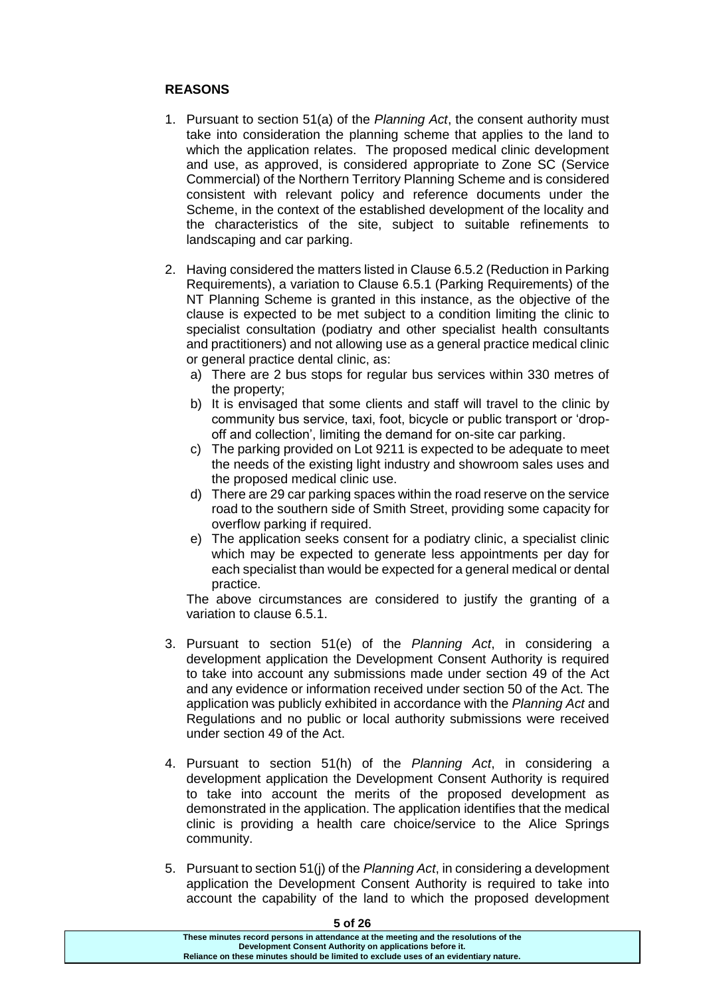# **REASONS**

- 1. Pursuant to section 51(a) of the *Planning Act*, the consent authority must take into consideration the planning scheme that applies to the land to which the application relates. The proposed medical clinic development and use, as approved, is considered appropriate to Zone SC (Service Commercial) of the Northern Territory Planning Scheme and is considered consistent with relevant policy and reference documents under the Scheme, in the context of the established development of the locality and the characteristics of the site, subject to suitable refinements to landscaping and car parking.
- 2. Having considered the matters listed in Clause 6.5.2 (Reduction in Parking Requirements), a variation to Clause 6.5.1 (Parking Requirements) of the NT Planning Scheme is granted in this instance, as the objective of the clause is expected to be met subject to a condition limiting the clinic to specialist consultation (podiatry and other specialist health consultants and practitioners) and not allowing use as a general practice medical clinic or general practice dental clinic, as:
	- a) There are 2 bus stops for regular bus services within 330 metres of the property;
	- b) It is envisaged that some clients and staff will travel to the clinic by community bus service, taxi, foot, bicycle or public transport or 'dropoff and collection', limiting the demand for on-site car parking.
	- c) The parking provided on Lot 9211 is expected to be adequate to meet the needs of the existing light industry and showroom sales uses and the proposed medical clinic use.
	- d) There are 29 car parking spaces within the road reserve on the service road to the southern side of Smith Street, providing some capacity for overflow parking if required.
	- e) The application seeks consent for a podiatry clinic, a specialist clinic which may be expected to generate less appointments per day for each specialist than would be expected for a general medical or dental practice.

The above circumstances are considered to justify the granting of a variation to clause 6.5.1.

- 3. Pursuant to section 51(e) of the *Planning Act*, in considering a development application the Development Consent Authority is required to take into account any submissions made under section 49 of the Act and any evidence or information received under section 50 of the Act. The application was publicly exhibited in accordance with the *Planning Act* and Regulations and no public or local authority submissions were received under section 49 of the Act.
- 4. Pursuant to section 51(h) of the *Planning Act*, in considering a development application the Development Consent Authority is required to take into account the merits of the proposed development as demonstrated in the application. The application identifies that the medical clinic is providing a health care choice/service to the Alice Springs community.
- 5. Pursuant to section 51(j) of the *Planning Act*, in considering a development application the Development Consent Authority is required to take into account the capability of the land to which the proposed development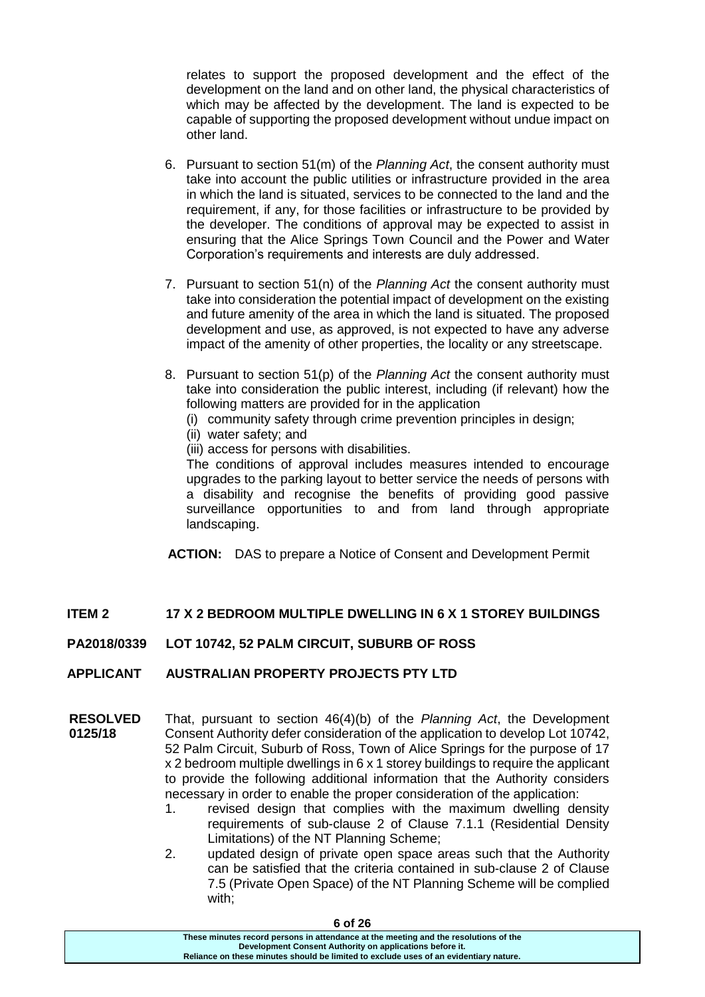relates to support the proposed development and the effect of the development on the land and on other land, the physical characteristics of which may be affected by the development. The land is expected to be capable of supporting the proposed development without undue impact on other land.

- 6. Pursuant to section 51(m) of the *Planning Act*, the consent authority must take into account the public utilities or infrastructure provided in the area in which the land is situated, services to be connected to the land and the requirement, if any, for those facilities or infrastructure to be provided by the developer. The conditions of approval may be expected to assist in ensuring that the Alice Springs Town Council and the Power and Water Corporation's requirements and interests are duly addressed.
- 7. Pursuant to section 51(n) of the *Planning Act* the consent authority must take into consideration the potential impact of development on the existing and future amenity of the area in which the land is situated. The proposed development and use, as approved, is not expected to have any adverse impact of the amenity of other properties, the locality or any streetscape.
- 8. Pursuant to section 51(p) of the *Planning Act* the consent authority must take into consideration the public interest, including (if relevant) how the following matters are provided for in the application
	- (i) community safety through crime prevention principles in design;
	- (ii) water safety; and
	- (iii) access for persons with disabilities.

The conditions of approval includes measures intended to encourage upgrades to the parking layout to better service the needs of persons with a disability and recognise the benefits of providing good passive surveillance opportunities to and from land through appropriate landscaping.

**ACTION:** DAS to prepare a Notice of Consent and Development Permit

# **ITEM 2 17 X 2 BEDROOM MULTIPLE DWELLING IN 6 X 1 STOREY BUILDINGS**

### **PA2018/0339 LOT 10742, 52 PALM CIRCUIT, SUBURB OF ROSS**

### **APPLICANT AUSTRALIAN PROPERTY PROJECTS PTY LTD**

- **RESOLVED 0125/18** That, pursuant to section 46(4)(b) of the *Planning Act*, the Development Consent Authority defer consideration of the application to develop Lot 10742, 52 Palm Circuit, Suburb of Ross, Town of Alice Springs for the purpose of 17 x 2 bedroom multiple dwellings in 6 x 1 storey buildings to require the applicant to provide the following additional information that the Authority considers necessary in order to enable the proper consideration of the application:
	- 1. revised design that complies with the maximum dwelling density requirements of sub-clause 2 of Clause 7.1.1 (Residential Density Limitations) of the NT Planning Scheme;
	- 2. updated design of private open space areas such that the Authority can be satisfied that the criteria contained in sub-clause 2 of Clause 7.5 (Private Open Space) of the NT Planning Scheme will be complied with;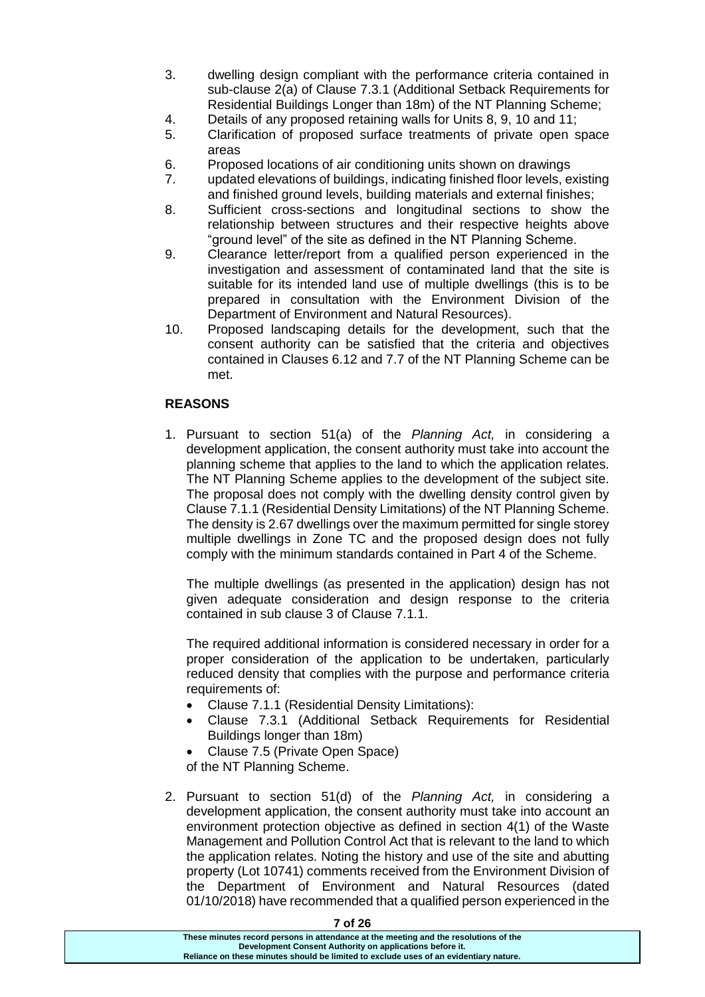- 3. dwelling design compliant with the performance criteria contained in sub-clause 2(a) of Clause 7.3.1 (Additional Setback Requirements for Residential Buildings Longer than 18m) of the NT Planning Scheme;
- 4. Details of any proposed retaining walls for Units 8, 9, 10 and 11;
- 5. Clarification of proposed surface treatments of private open space areas
- 6. Proposed locations of air conditioning units shown on drawings
- 7. updated elevations of buildings, indicating finished floor levels, existing and finished ground levels, building materials and external finishes;
- 8. Sufficient cross-sections and longitudinal sections to show the relationship between structures and their respective heights above "ground level" of the site as defined in the NT Planning Scheme.
- 9. Clearance letter/report from a qualified person experienced in the investigation and assessment of contaminated land that the site is suitable for its intended land use of multiple dwellings (this is to be prepared in consultation with the Environment Division of the Department of Environment and Natural Resources).
- 10. Proposed landscaping details for the development, such that the consent authority can be satisfied that the criteria and objectives contained in Clauses 6.12 and 7.7 of the NT Planning Scheme can be met.

# **REASONS**

1. Pursuant to section 51(a) of the *Planning Act,* in considering a development application, the consent authority must take into account the planning scheme that applies to the land to which the application relates. The NT Planning Scheme applies to the development of the subject site. The proposal does not comply with the dwelling density control given by Clause 7.1.1 (Residential Density Limitations) of the NT Planning Scheme. The density is 2.67 dwellings over the maximum permitted for single storey multiple dwellings in Zone TC and the proposed design does not fully comply with the minimum standards contained in Part 4 of the Scheme.

The multiple dwellings (as presented in the application) design has not given adequate consideration and design response to the criteria contained in sub clause 3 of Clause 7.1.1.

The required additional information is considered necessary in order for a proper consideration of the application to be undertaken, particularly reduced density that complies with the purpose and performance criteria requirements of:

- Clause 7.1.1 (Residential Density Limitations):
- Clause 7.3.1 (Additional Setback Requirements for Residential Buildings longer than 18m)
- Clause 7.5 (Private Open Space)

of the NT Planning Scheme.

2. Pursuant to section 51(d) of the *Planning Act,* in considering a development application, the consent authority must take into account an environment protection objective as defined in section 4(1) of the Waste Management and Pollution Control Act that is relevant to the land to which the application relates. Noting the history and use of the site and abutting property (Lot 10741) comments received from the Environment Division of the Department of Environment and Natural Resources (dated 01/10/2018) have recommended that a qualified person experienced in the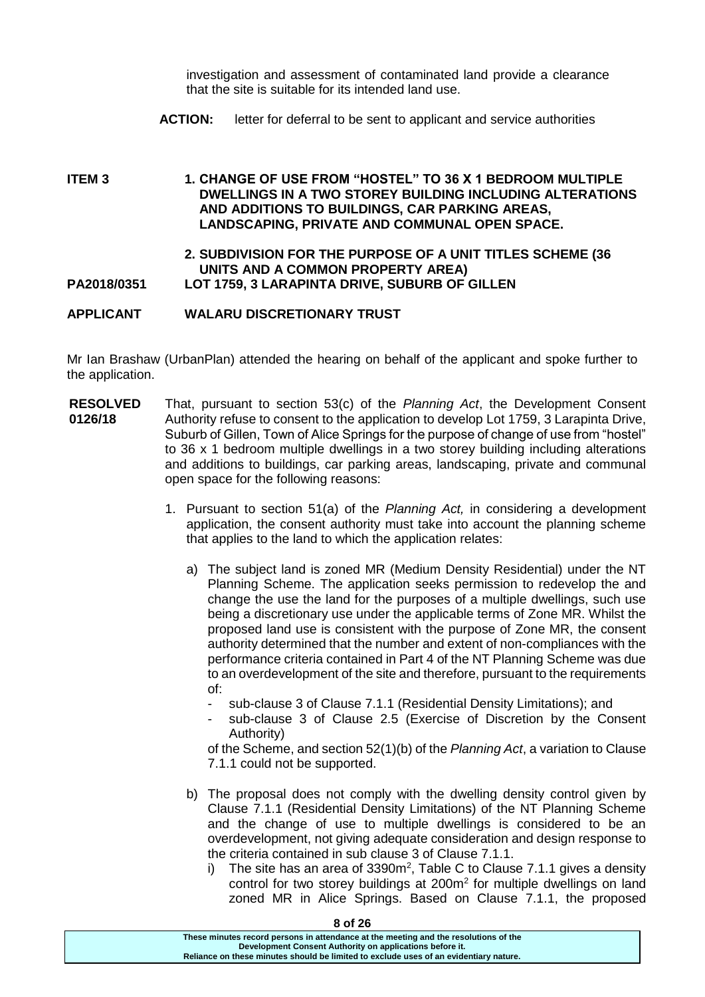investigation and assessment of contaminated land provide a clearance that the site is suitable for its intended land use.

**ACTION:** letter for deferral to be sent to applicant and service authorities

**ITEM 3 1. CHANGE OF USE FROM "HOSTEL" TO 36 X 1 BEDROOM MULTIPLE DWELLINGS IN A TWO STOREY BUILDING INCLUDING ALTERATIONS AND ADDITIONS TO BUILDINGS, CAR PARKING AREAS, LANDSCAPING, PRIVATE AND COMMUNAL OPEN SPACE. 2. SUBDIVISION FOR THE PURPOSE OF A UNIT TITLES SCHEME (36 UNITS AND A COMMON PROPERTY AREA) PA2018/0351 LOT 1759, 3 LARAPINTA DRIVE, SUBURB OF GILLEN**

**APPLICANT WALARU DISCRETIONARY TRUST**

Mr Ian Brashaw (UrbanPlan) attended the hearing on behalf of the applicant and spoke further to the application.

- **RESOLVED 0126/18** That, pursuant to section 53(c) of the *Planning Act*, the Development Consent Authority refuse to consent to the application to develop Lot 1759, 3 Larapinta Drive, Suburb of Gillen, Town of Alice Springs for the purpose of change of use from "hostel" to 36 x 1 bedroom multiple dwellings in a two storey building including alterations and additions to buildings, car parking areas, landscaping, private and communal open space for the following reasons:
	- 1. Pursuant to section 51(a) of the *Planning Act,* in considering a development application, the consent authority must take into account the planning scheme that applies to the land to which the application relates:
		- a) The subject land is zoned MR (Medium Density Residential) under the NT Planning Scheme. The application seeks permission to redevelop the and change the use the land for the purposes of a multiple dwellings, such use being a discretionary use under the applicable terms of Zone MR. Whilst the proposed land use is consistent with the purpose of Zone MR, the consent authority determined that the number and extent of non-compliances with the performance criteria contained in Part 4 of the NT Planning Scheme was due to an overdevelopment of the site and therefore, pursuant to the requirements of:
			- sub-clause 3 of Clause 7.1.1 (Residential Density Limitations); and
			- sub-clause 3 of Clause 2.5 (Exercise of Discretion by the Consent Authority)

of the Scheme, and section 52(1)(b) of the *Planning Act*, a variation to Clause 7.1.1 could not be supported.

- b) The proposal does not comply with the dwelling density control given by Clause 7.1.1 (Residential Density Limitations) of the NT Planning Scheme and the change of use to multiple dwellings is considered to be an overdevelopment, not giving adequate consideration and design response to the criteria contained in sub clause 3 of Clause 7.1.1.
	- i) The site has an area of 3390 $m^2$ , Table C to Clause 7.1.1 gives a density control for two storey buildings at 200m<sup>2</sup> for multiple dwellings on land zoned MR in Alice Springs. Based on Clause 7.1.1, the proposed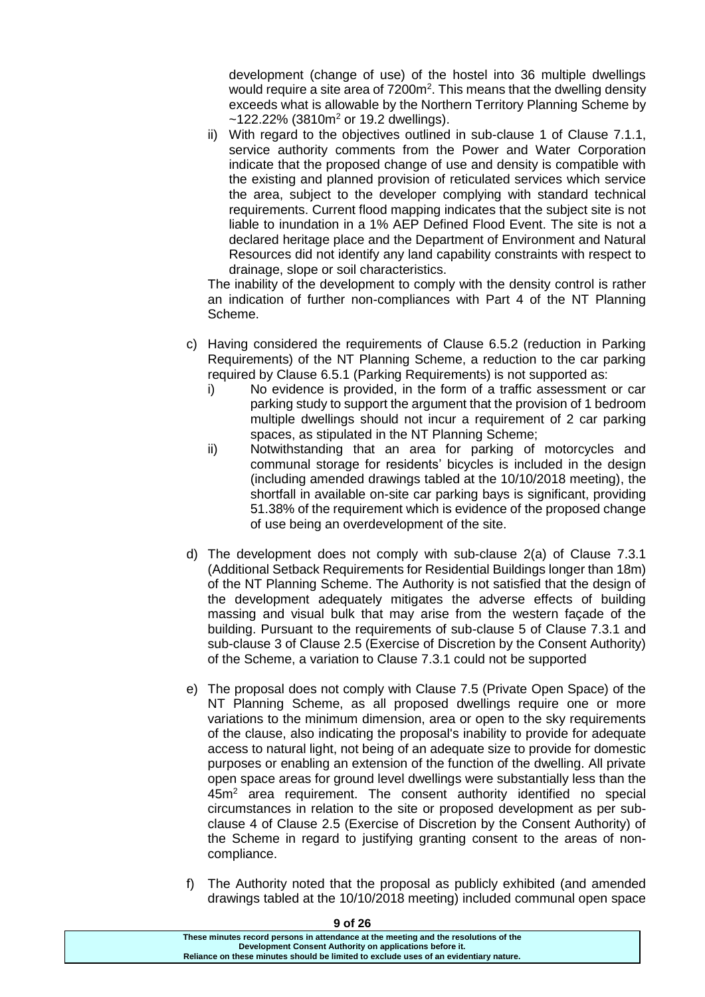development (change of use) of the hostel into 36 multiple dwellings would require a site area of 7200m<sup>2</sup>. This means that the dwelling density exceeds what is allowable by the Northern Territory Planning Scheme by  $\sim$ 122.22% (3810m<sup>2</sup> or 19.2 dwellings).

ii) With regard to the objectives outlined in sub-clause 1 of Clause 7.1.1, service authority comments from the Power and Water Corporation indicate that the proposed change of use and density is compatible with the existing and planned provision of reticulated services which service the area, subject to the developer complying with standard technical requirements. Current flood mapping indicates that the subject site is not liable to inundation in a 1% AEP Defined Flood Event. The site is not a declared heritage place and the Department of Environment and Natural Resources did not identify any land capability constraints with respect to drainage, slope or soil characteristics.

The inability of the development to comply with the density control is rather an indication of further non-compliances with Part 4 of the NT Planning Scheme.

- c) Having considered the requirements of Clause 6.5.2 (reduction in Parking Requirements) of the NT Planning Scheme, a reduction to the car parking required by Clause 6.5.1 (Parking Requirements) is not supported as:
	- i) No evidence is provided, in the form of a traffic assessment or car parking study to support the argument that the provision of 1 bedroom multiple dwellings should not incur a requirement of 2 car parking spaces, as stipulated in the NT Planning Scheme;
	- ii) Notwithstanding that an area for parking of motorcycles and communal storage for residents' bicycles is included in the design (including amended drawings tabled at the 10/10/2018 meeting), the shortfall in available on-site car parking bays is significant, providing 51.38% of the requirement which is evidence of the proposed change of use being an overdevelopment of the site.
- d) The development does not comply with sub-clause 2(a) of Clause 7.3.1 (Additional Setback Requirements for Residential Buildings longer than 18m) of the NT Planning Scheme. The Authority is not satisfied that the design of the development adequately mitigates the adverse effects of building massing and visual bulk that may arise from the western façade of the building. Pursuant to the requirements of sub-clause 5 of Clause 7.3.1 and sub-clause 3 of Clause 2.5 (Exercise of Discretion by the Consent Authority) of the Scheme, a variation to Clause 7.3.1 could not be supported
- e) The proposal does not comply with Clause 7.5 (Private Open Space) of the NT Planning Scheme, as all proposed dwellings require one or more variations to the minimum dimension, area or open to the sky requirements of the clause, also indicating the proposal's inability to provide for adequate access to natural light, not being of an adequate size to provide for domestic purposes or enabling an extension of the function of the dwelling. All private open space areas for ground level dwellings were substantially less than the 45m<sup>2</sup> area requirement. The consent authority identified no special circumstances in relation to the site or proposed development as per subclause 4 of Clause 2.5 (Exercise of Discretion by the Consent Authority) of the Scheme in regard to justifying granting consent to the areas of noncompliance.
- f) The Authority noted that the proposal as publicly exhibited (and amended drawings tabled at the 10/10/2018 meeting) included communal open space

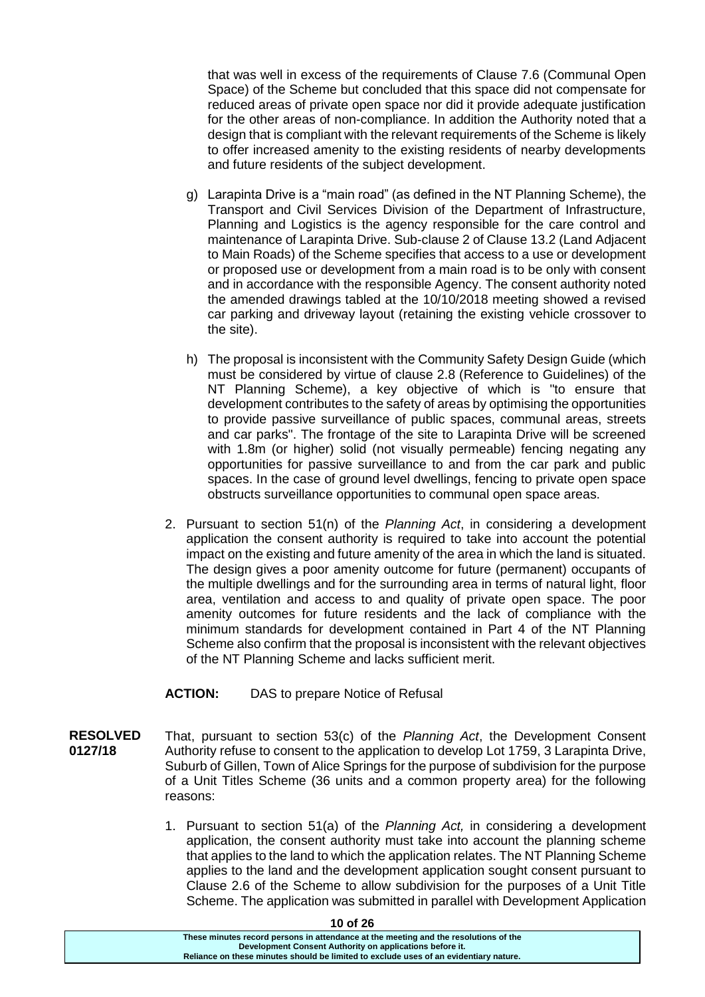that was well in excess of the requirements of Clause 7.6 (Communal Open Space) of the Scheme but concluded that this space did not compensate for reduced areas of private open space nor did it provide adequate justification for the other areas of non-compliance. In addition the Authority noted that a design that is compliant with the relevant requirements of the Scheme is likely to offer increased amenity to the existing residents of nearby developments and future residents of the subject development.

- g) Larapinta Drive is a "main road" (as defined in the NT Planning Scheme), the Transport and Civil Services Division of the Department of Infrastructure, Planning and Logistics is the agency responsible for the care control and maintenance of Larapinta Drive. Sub-clause 2 of Clause 13.2 (Land Adjacent to Main Roads) of the Scheme specifies that access to a use or development or proposed use or development from a main road is to be only with consent and in accordance with the responsible Agency. The consent authority noted the amended drawings tabled at the 10/10/2018 meeting showed a revised car parking and driveway layout (retaining the existing vehicle crossover to the site).
- h) The proposal is inconsistent with the Community Safety Design Guide (which must be considered by virtue of clause 2.8 (Reference to Guidelines) of the NT Planning Scheme), a key objective of which is "to ensure that development contributes to the safety of areas by optimising the opportunities to provide passive surveillance of public spaces, communal areas, streets and car parks". The frontage of the site to Larapinta Drive will be screened with 1.8m (or higher) solid (not visually permeable) fencing negating any opportunities for passive surveillance to and from the car park and public spaces. In the case of ground level dwellings, fencing to private open space obstructs surveillance opportunities to communal open space areas.
- 2. Pursuant to section 51(n) of the *Planning Act*, in considering a development application the consent authority is required to take into account the potential impact on the existing and future amenity of the area in which the land is situated. The design gives a poor amenity outcome for future (permanent) occupants of the multiple dwellings and for the surrounding area in terms of natural light, floor area, ventilation and access to and quality of private open space. The poor amenity outcomes for future residents and the lack of compliance with the minimum standards for development contained in Part 4 of the NT Planning Scheme also confirm that the proposal is inconsistent with the relevant objectives of the NT Planning Scheme and lacks sufficient merit.

### **ACTION:** DAS to prepare Notice of Refusal

- **RESOLVED 0127/18** That, pursuant to section 53(c) of the *Planning Act*, the Development Consent Authority refuse to consent to the application to develop Lot 1759, 3 Larapinta Drive, Suburb of Gillen, Town of Alice Springs for the purpose of subdivision for the purpose of a Unit Titles Scheme (36 units and a common property area) for the following reasons:
	- 1. Pursuant to section 51(a) of the *Planning Act,* in considering a development application, the consent authority must take into account the planning scheme that applies to the land to which the application relates. The NT Planning Scheme applies to the land and the development application sought consent pursuant to Clause 2.6 of the Scheme to allow subdivision for the purposes of a Unit Title Scheme. The application was submitted in parallel with Development Application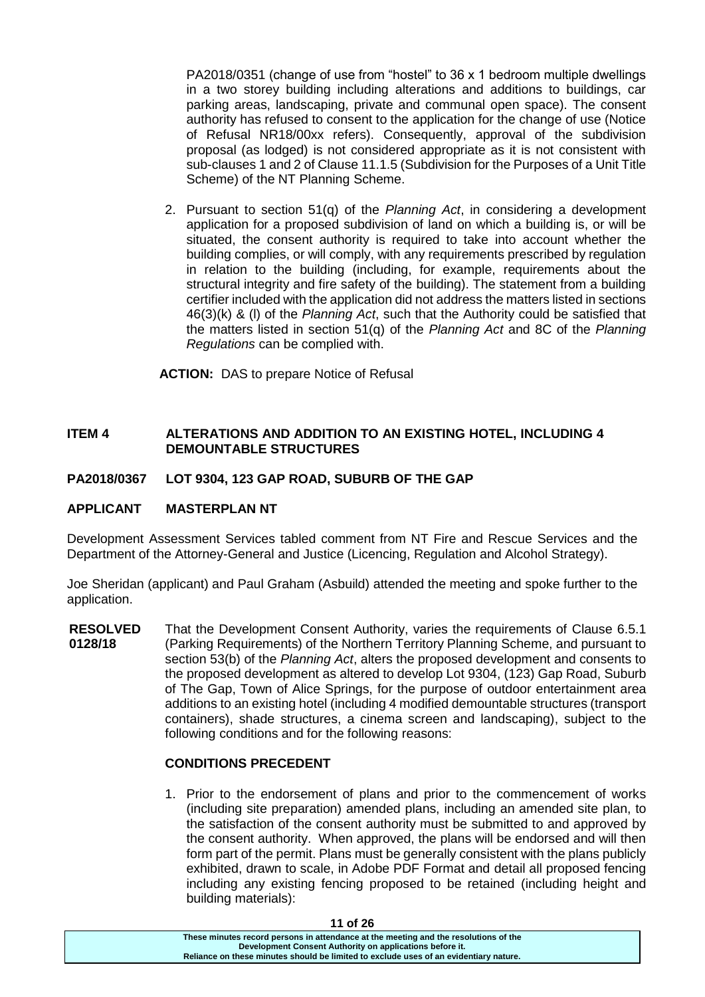PA2018/0351 (change of use from "hostel" to 36 x 1 bedroom multiple dwellings in a two storey building including alterations and additions to buildings, car parking areas, landscaping, private and communal open space). The consent authority has refused to consent to the application for the change of use (Notice of Refusal NR18/00xx refers). Consequently, approval of the subdivision proposal (as lodged) is not considered appropriate as it is not consistent with sub-clauses 1 and 2 of Clause 11.1.5 (Subdivision for the Purposes of a Unit Title Scheme) of the NT Planning Scheme.

2. Pursuant to section 51(q) of the *Planning Act*, in considering a development application for a proposed subdivision of land on which a building is, or will be situated, the consent authority is required to take into account whether the building complies, or will comply, with any requirements prescribed by regulation in relation to the building (including, for example, requirements about the structural integrity and fire safety of the building). The statement from a building certifier included with the application did not address the matters listed in sections 46(3)(k) & (l) of the *Planning Act*, such that the Authority could be satisfied that the matters listed in section 51(q) of the *Planning Act* and 8C of the *Planning Regulations* can be complied with.

**ACTION:** DAS to prepare Notice of Refusal

### **ITEM 4 ALTERATIONS AND ADDITION TO AN EXISTING HOTEL, INCLUDING 4 DEMOUNTABLE STRUCTURES**

#### **PA2018/0367 LOT 9304, 123 GAP ROAD, SUBURB OF THE GAP**

#### **APPLICANT MASTERPLAN NT**

Development Assessment Services tabled comment from NT Fire and Rescue Services and the Department of the Attorney-General and Justice (Licencing, Regulation and Alcohol Strategy).

Joe Sheridan (applicant) and Paul Graham (Asbuild) attended the meeting and spoke further to the application.

**RESOLVED 0128/18** That the Development Consent Authority, varies the requirements of Clause 6.5.1 (Parking Requirements) of the Northern Territory Planning Scheme, and pursuant to section 53(b) of the *Planning Act*, alters the proposed development and consents to the proposed development as altered to develop Lot 9304, (123) Gap Road, Suburb of The Gap, Town of Alice Springs, for the purpose of outdoor entertainment area additions to an existing hotel (including 4 modified demountable structures (transport containers), shade structures, a cinema screen and landscaping), subject to the following conditions and for the following reasons:

#### **CONDITIONS PRECEDENT**

1. Prior to the endorsement of plans and prior to the commencement of works (including site preparation) amended plans, including an amended site plan, to the satisfaction of the consent authority must be submitted to and approved by the consent authority. When approved, the plans will be endorsed and will then form part of the permit. Plans must be generally consistent with the plans publicly exhibited, drawn to scale, in Adobe PDF Format and detail all proposed fencing including any existing fencing proposed to be retained (including height and building materials):

**These minutes record persons in attendance at the meeting and the resolutions of the Development Consent Authority on applications before it. Reliance on these minutes should be limited to exclude uses of an evidentiary nature.**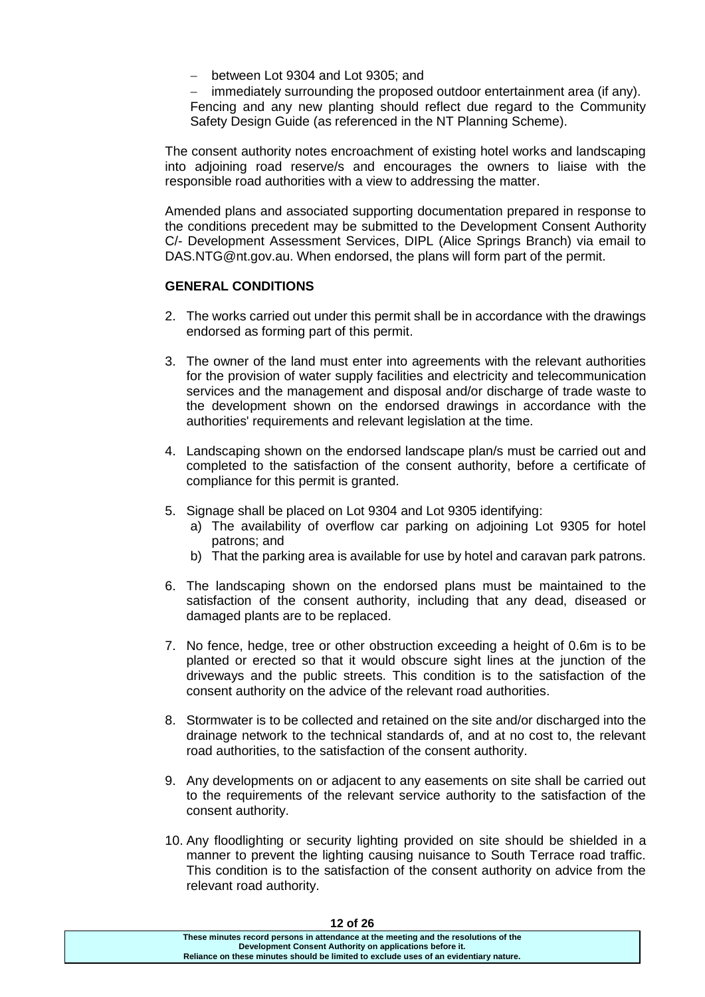between Lot 9304 and Lot 9305; and

 immediately surrounding the proposed outdoor entertainment area (if any). Fencing and any new planting should reflect due regard to the Community Safety Design Guide (as referenced in the NT Planning Scheme).

The consent authority notes encroachment of existing hotel works and landscaping into adjoining road reserve/s and encourages the owners to liaise with the responsible road authorities with a view to addressing the matter.

Amended plans and associated supporting documentation prepared in response to the conditions precedent may be submitted to the Development Consent Authority C/- Development Assessment Services, DIPL (Alice Springs Branch) via email to DAS.NTG@nt.gov.au. When endorsed, the plans will form part of the permit.

#### **GENERAL CONDITIONS**

- 2. The works carried out under this permit shall be in accordance with the drawings endorsed as forming part of this permit.
- 3. The owner of the land must enter into agreements with the relevant authorities for the provision of water supply facilities and electricity and telecommunication services and the management and disposal and/or discharge of trade waste to the development shown on the endorsed drawings in accordance with the authorities' requirements and relevant legislation at the time.
- 4. Landscaping shown on the endorsed landscape plan/s must be carried out and completed to the satisfaction of the consent authority, before a certificate of compliance for this permit is granted.
- 5. Signage shall be placed on Lot 9304 and Lot 9305 identifying:
	- a) The availability of overflow car parking on adjoining Lot 9305 for hotel patrons; and
	- b) That the parking area is available for use by hotel and caravan park patrons.
- 6. The landscaping shown on the endorsed plans must be maintained to the satisfaction of the consent authority, including that any dead, diseased or damaged plants are to be replaced.
- 7. No fence, hedge, tree or other obstruction exceeding a height of 0.6m is to be planted or erected so that it would obscure sight lines at the junction of the driveways and the public streets. This condition is to the satisfaction of the consent authority on the advice of the relevant road authorities.
- 8. Stormwater is to be collected and retained on the site and/or discharged into the drainage network to the technical standards of, and at no cost to, the relevant road authorities, to the satisfaction of the consent authority.
- 9. Any developments on or adjacent to any easements on site shall be carried out to the requirements of the relevant service authority to the satisfaction of the consent authority.
- 10. Any floodlighting or security lighting provided on site should be shielded in a manner to prevent the lighting causing nuisance to South Terrace road traffic. This condition is to the satisfaction of the consent authority on advice from the relevant road authority.

| 14 UI 40                                                                              |  |
|---------------------------------------------------------------------------------------|--|
| These minutes record persons in attendance at the meeting and the resolutions of the  |  |
| Development Consent Authority on applications before it.                              |  |
| Reliance on these minutes should be limited to exclude uses of an evidentiary nature. |  |
|                                                                                       |  |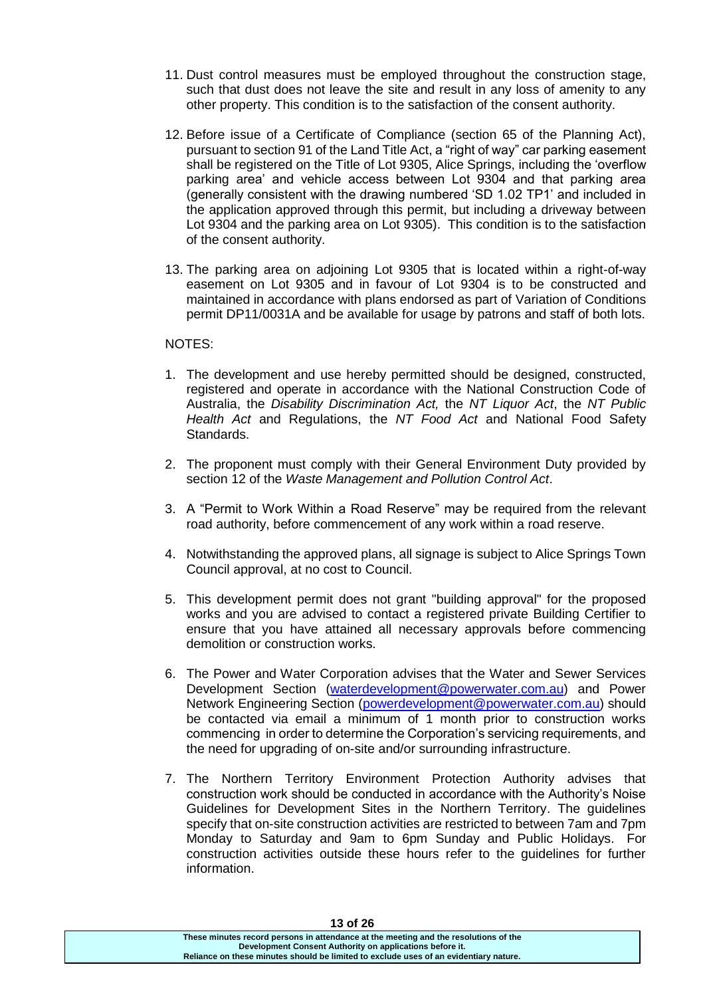- 11. Dust control measures must be employed throughout the construction stage, such that dust does not leave the site and result in any loss of amenity to any other property. This condition is to the satisfaction of the consent authority.
- 12. Before issue of a Certificate of Compliance (section 65 of the Planning Act), pursuant to section 91 of the Land Title Act, a "right of way" car parking easement shall be registered on the Title of Lot 9305, Alice Springs, including the 'overflow parking area' and vehicle access between Lot 9304 and that parking area (generally consistent with the drawing numbered 'SD 1.02 TP1' and included in the application approved through this permit, but including a driveway between Lot 9304 and the parking area on Lot 9305). This condition is to the satisfaction of the consent authority.
- 13. The parking area on adjoining Lot 9305 that is located within a right-of-way easement on Lot 9305 and in favour of Lot 9304 is to be constructed and maintained in accordance with plans endorsed as part of Variation of Conditions permit DP11/0031A and be available for usage by patrons and staff of both lots.

#### NOTES:

- 1. The development and use hereby permitted should be designed, constructed, registered and operate in accordance with the National Construction Code of Australia, the *Disability Discrimination Act,* the *NT Liquor Act*, the *NT Public Health Act* and Regulations, the *NT Food Act* and National Food Safety Standards.
- 2. The proponent must comply with their General Environment Duty provided by section 12 of the *Waste Management and Pollution Control Act*.
- 3. A "Permit to Work Within a Road Reserve" may be required from the relevant road authority, before commencement of any work within a road reserve.
- 4. Notwithstanding the approved plans, all signage is subject to Alice Springs Town Council approval, at no cost to Council.
- 5. This development permit does not grant "building approval" for the proposed works and you are advised to contact a registered private Building Certifier to ensure that you have attained all necessary approvals before commencing demolition or construction works.
- 6. The Power and Water Corporation advises that the Water and Sewer Services Development Section [\(waterdevelopment@powerwater.com.au\)](mailto:waterdevelopment@powerwater.com.au) and Power Network Engineering Section [\(powerdevelopment@powerwater.com.au\)](mailto:powerdevelopment@powerwater.com.au) should be contacted via email a minimum of 1 month prior to construction works commencing in order to determine the Corporation's servicing requirements, and the need for upgrading of on-site and/or surrounding infrastructure.
- 7. The Northern Territory Environment Protection Authority advises that construction work should be conducted in accordance with the Authority's Noise Guidelines for Development Sites in the Northern Territory. The guidelines specify that on-site construction activities are restricted to between 7am and 7pm Monday to Saturday and 9am to 6pm Sunday and Public Holidays. For construction activities outside these hours refer to the guidelines for further information.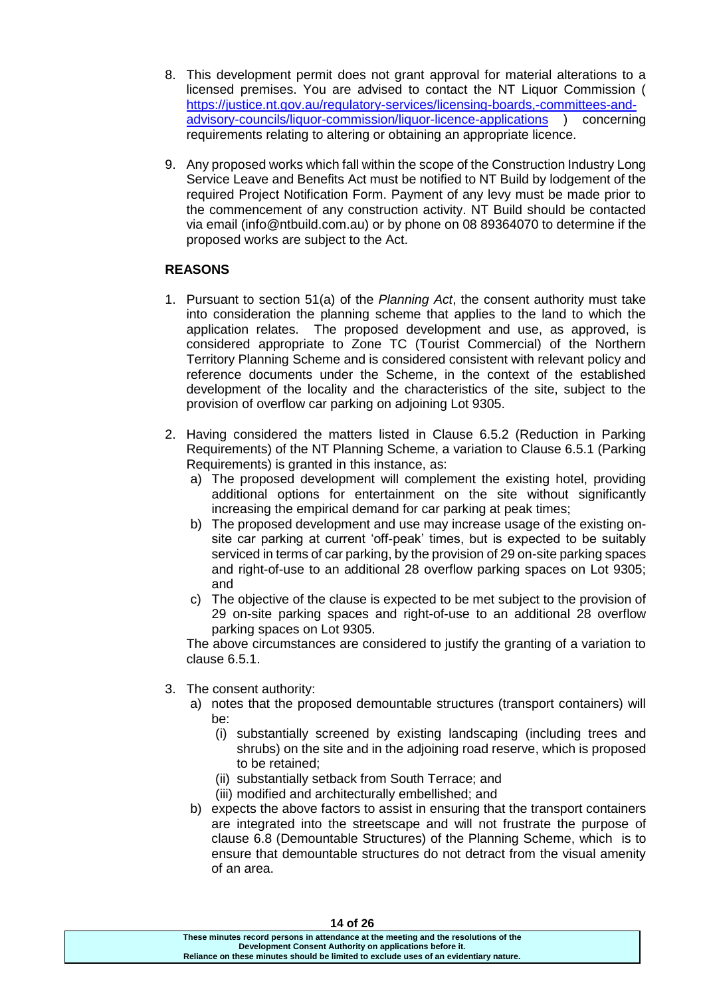- 8. This development permit does not grant approval for material alterations to a licensed premises. You are advised to contact the NT Liquor Commission ( [https://justice.nt.gov.au/regulatory-services/licensing-boards,-committees-and](https://justice.nt.gov.au/regulatory-services/licensing-boards,-committees-and-advisory-councils/liquor-commission/liquor-licence-applications)[advisory-councils/liquor-commission/liquor-licence-applications](https://justice.nt.gov.au/regulatory-services/licensing-boards,-committees-and-advisory-councils/liquor-commission/liquor-licence-applications) ) concerning requirements relating to altering or obtaining an appropriate licence.
- 9. Any proposed works which fall within the scope of the Construction Industry Long Service Leave and Benefits Act must be notified to NT Build by lodgement of the required Project Notification Form. Payment of any levy must be made prior to the commencement of any construction activity. NT Build should be contacted via email (info@ntbuild.com.au) or by phone on 08 89364070 to determine if the proposed works are subject to the Act.

### **REASONS**

- 1. Pursuant to section 51(a) of the *Planning Act*, the consent authority must take into consideration the planning scheme that applies to the land to which the application relates. The proposed development and use, as approved, is considered appropriate to Zone TC (Tourist Commercial) of the Northern Territory Planning Scheme and is considered consistent with relevant policy and reference documents under the Scheme, in the context of the established development of the locality and the characteristics of the site, subject to the provision of overflow car parking on adjoining Lot 9305.
- 2. Having considered the matters listed in Clause 6.5.2 (Reduction in Parking Requirements) of the NT Planning Scheme, a variation to Clause 6.5.1 (Parking Requirements) is granted in this instance, as:
	- a) The proposed development will complement the existing hotel, providing additional options for entertainment on the site without significantly increasing the empirical demand for car parking at peak times;
	- b) The proposed development and use may increase usage of the existing onsite car parking at current 'off-peak' times, but is expected to be suitably serviced in terms of car parking, by the provision of 29 on-site parking spaces and right-of-use to an additional 28 overflow parking spaces on Lot 9305; and
	- c) The objective of the clause is expected to be met subject to the provision of 29 on-site parking spaces and right-of-use to an additional 28 overflow parking spaces on Lot 9305.

The above circumstances are considered to justify the granting of a variation to clause 6.5.1.

- 3. The consent authority:
	- a) notes that the proposed demountable structures (transport containers) will be:
		- (i) substantially screened by existing landscaping (including trees and shrubs) on the site and in the adjoining road reserve, which is proposed to be retained;
		- (ii) substantially setback from South Terrace; and
		- (iii) modified and architecturally embellished; and
	- b) expects the above factors to assist in ensuring that the transport containers are integrated into the streetscape and will not frustrate the purpose of clause 6.8 (Demountable Structures) of the Planning Scheme, which is to ensure that demountable structures do not detract from the visual amenity of an area.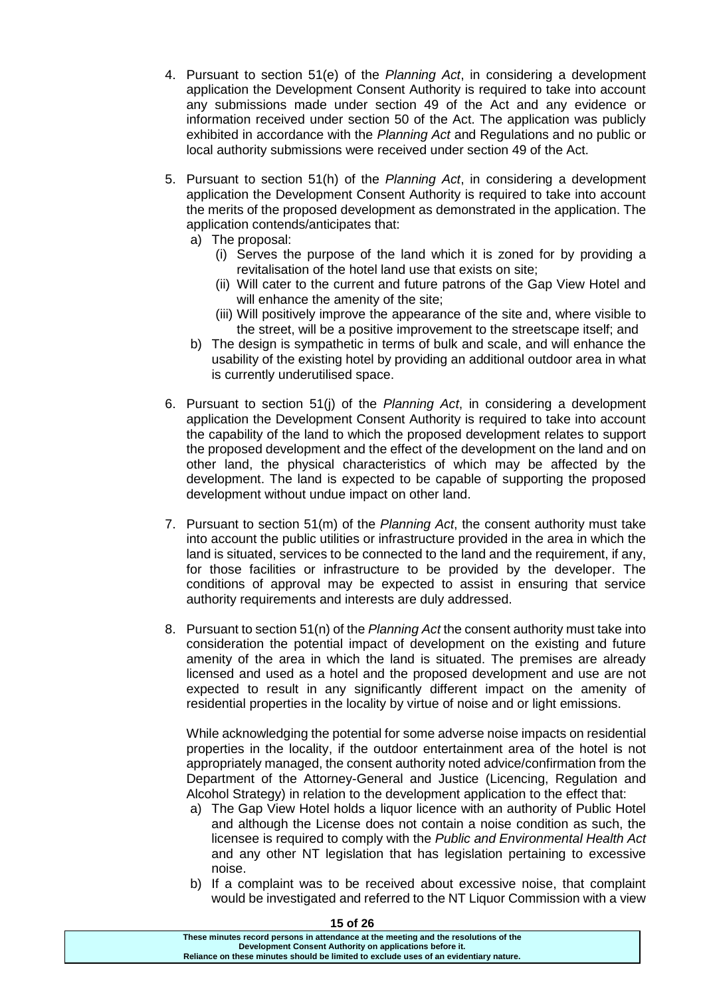- 4. Pursuant to section 51(e) of the *Planning Act*, in considering a development application the Development Consent Authority is required to take into account any submissions made under section 49 of the Act and any evidence or information received under section 50 of the Act. The application was publicly exhibited in accordance with the *Planning Act* and Regulations and no public or local authority submissions were received under section 49 of the Act.
- 5. Pursuant to section 51(h) of the *Planning Act*, in considering a development application the Development Consent Authority is required to take into account the merits of the proposed development as demonstrated in the application. The application contends/anticipates that:
	- a) The proposal:
		- (i) Serves the purpose of the land which it is zoned for by providing a revitalisation of the hotel land use that exists on site;
		- (ii) Will cater to the current and future patrons of the Gap View Hotel and will enhance the amenity of the site:
		- (iii) Will positively improve the appearance of the site and, where visible to the street, will be a positive improvement to the streetscape itself; and
	- b) The design is sympathetic in terms of bulk and scale, and will enhance the usability of the existing hotel by providing an additional outdoor area in what is currently underutilised space.
- 6. Pursuant to section 51(j) of the *Planning Act*, in considering a development application the Development Consent Authority is required to take into account the capability of the land to which the proposed development relates to support the proposed development and the effect of the development on the land and on other land, the physical characteristics of which may be affected by the development. The land is expected to be capable of supporting the proposed development without undue impact on other land.
- 7. Pursuant to section 51(m) of the *Planning Act*, the consent authority must take into account the public utilities or infrastructure provided in the area in which the land is situated, services to be connected to the land and the requirement, if any, for those facilities or infrastructure to be provided by the developer. The conditions of approval may be expected to assist in ensuring that service authority requirements and interests are duly addressed.
- 8. Pursuant to section 51(n) of the *Planning Act* the consent authority must take into consideration the potential impact of development on the existing and future amenity of the area in which the land is situated. The premises are already licensed and used as a hotel and the proposed development and use are not expected to result in any significantly different impact on the amenity of residential properties in the locality by virtue of noise and or light emissions.

While acknowledging the potential for some adverse noise impacts on residential properties in the locality, if the outdoor entertainment area of the hotel is not appropriately managed, the consent authority noted advice/confirmation from the Department of the Attorney-General and Justice (Licencing, Regulation and Alcohol Strategy) in relation to the development application to the effect that:

- a) The Gap View Hotel holds a liquor licence with an authority of Public Hotel and although the License does not contain a noise condition as such, the licensee is required to comply with the *Public and Environmental Health Act* and any other NT legislation that has legislation pertaining to excessive noise.
- b) If a complaint was to be received about excessive noise, that complaint would be investigated and referred to the NT Liquor Commission with a view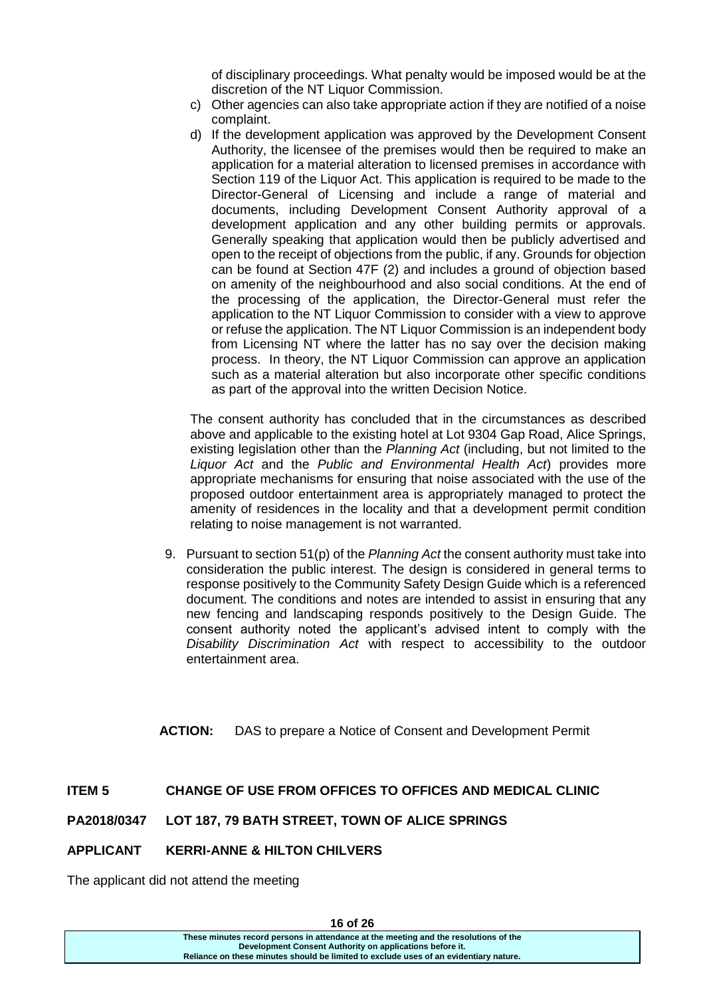of disciplinary proceedings. What penalty would be imposed would be at the discretion of the NT Liquor Commission.

- c) Other agencies can also take appropriate action if they are notified of a noise complaint.
- d) If the development application was approved by the Development Consent Authority, the licensee of the premises would then be required to make an application for a material alteration to licensed premises in accordance with Section 119 of the Liquor Act. This application is required to be made to the Director-General of Licensing and include a range of material and documents, including Development Consent Authority approval of a development application and any other building permits or approvals. Generally speaking that application would then be publicly advertised and open to the receipt of objections from the public, if any. Grounds for objection can be found at Section 47F (2) and includes a ground of objection based on amenity of the neighbourhood and also social conditions. At the end of the processing of the application, the Director-General must refer the application to the NT Liquor Commission to consider with a view to approve or refuse the application. The NT Liquor Commission is an independent body from Licensing NT where the latter has no say over the decision making process. In theory, the NT Liquor Commission can approve an application such as a material alteration but also incorporate other specific conditions as part of the approval into the written Decision Notice.

The consent authority has concluded that in the circumstances as described above and applicable to the existing hotel at Lot 9304 Gap Road, Alice Springs, existing legislation other than the *Planning Act* (including, but not limited to the *Liquor Act* and the *Public and Environmental Health Act*) provides more appropriate mechanisms for ensuring that noise associated with the use of the proposed outdoor entertainment area is appropriately managed to protect the amenity of residences in the locality and that a development permit condition relating to noise management is not warranted.

9. Pursuant to section 51(p) of the *Planning Act* the consent authority must take into consideration the public interest. The design is considered in general terms to response positively to the Community Safety Design Guide which is a referenced document. The conditions and notes are intended to assist in ensuring that any new fencing and landscaping responds positively to the Design Guide. The consent authority noted the applicant's advised intent to comply with the *Disability Discrimination Act* with respect to accessibility to the outdoor entertainment area.

**ACTION:** DAS to prepare a Notice of Consent and Development Permit

### **ITEM 5 CHANGE OF USE FROM OFFICES TO OFFICES AND MEDICAL CLINIC**

### **PA2018/0347 LOT 187, 79 BATH STREET, TOWN OF ALICE SPRINGS**

#### **APPLICANT KERRI-ANNE & HILTON CHILVERS**

The applicant did not attend the meeting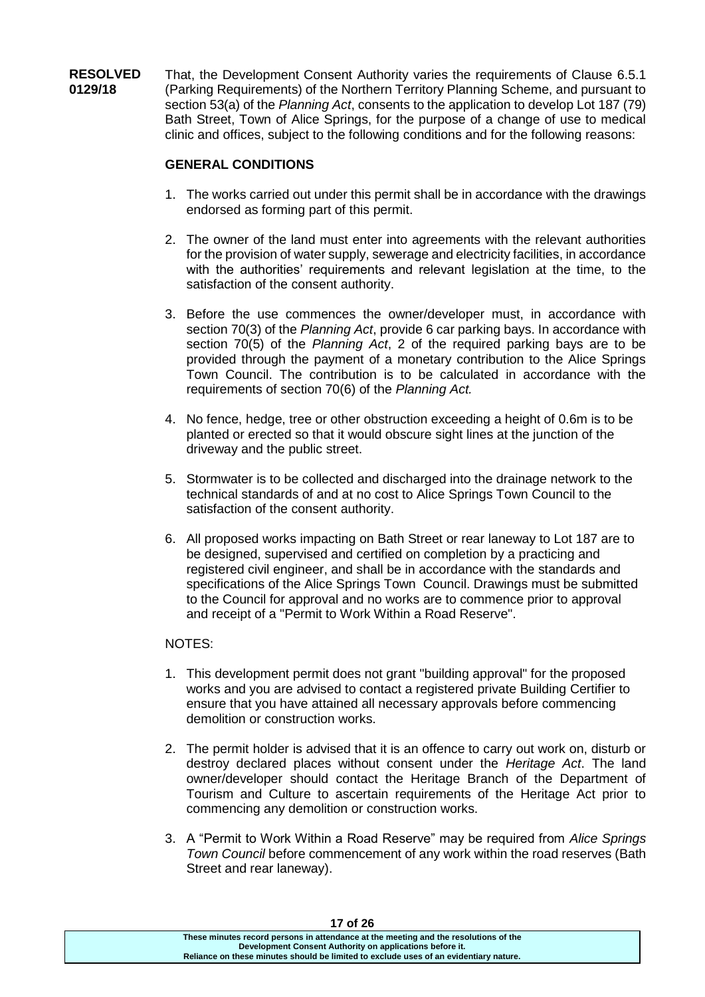**RESOLVED 0129/18** That, the Development Consent Authority varies the requirements of Clause 6.5.1 (Parking Requirements) of the Northern Territory Planning Scheme, and pursuant to section 53(a) of the *Planning Act*, consents to the application to develop Lot 187 (79) Bath Street, Town of Alice Springs, for the purpose of a change of use to medical clinic and offices, subject to the following conditions and for the following reasons:

# **GENERAL CONDITIONS**

- 1. The works carried out under this permit shall be in accordance with the drawings endorsed as forming part of this permit.
- 2. The owner of the land must enter into agreements with the relevant authorities for the provision of water supply, sewerage and electricity facilities, in accordance with the authorities' requirements and relevant legislation at the time, to the satisfaction of the consent authority.
- 3. Before the use commences the owner/developer must, in accordance with section 70(3) of the *Planning Act*, provide 6 car parking bays. In accordance with section 70(5) of the *Planning Act*, 2 of the required parking bays are to be provided through the payment of a monetary contribution to the Alice Springs Town Council. The contribution is to be calculated in accordance with the requirements of section 70(6) of the *Planning Act.*
- 4. No fence, hedge, tree or other obstruction exceeding a height of 0.6m is to be planted or erected so that it would obscure sight lines at the junction of the driveway and the public street.
- 5. Stormwater is to be collected and discharged into the drainage network to the technical standards of and at no cost to Alice Springs Town Council to the satisfaction of the consent authority.
- 6. All proposed works impacting on Bath Street or rear laneway to Lot 187 are to be designed, supervised and certified on completion by a practicing and registered civil engineer, and shall be in accordance with the standards and specifications of the Alice Springs Town Council. Drawings must be submitted to the Council for approval and no works are to commence prior to approval and receipt of a "Permit to Work Within a Road Reserve".

### NOTES:

- 1. This development permit does not grant "building approval" for the proposed works and you are advised to contact a registered private Building Certifier to ensure that you have attained all necessary approvals before commencing demolition or construction works.
- 2. The permit holder is advised that it is an offence to carry out work on, disturb or destroy declared places without consent under the *Heritage Act*. The land owner/developer should contact the Heritage Branch of the Department of Tourism and Culture to ascertain requirements of the Heritage Act prior to commencing any demolition or construction works.
- 3. A "Permit to Work Within a Road Reserve" may be required from *Alice Springs Town Council* before commencement of any work within the road reserves (Bath Street and rear laneway).

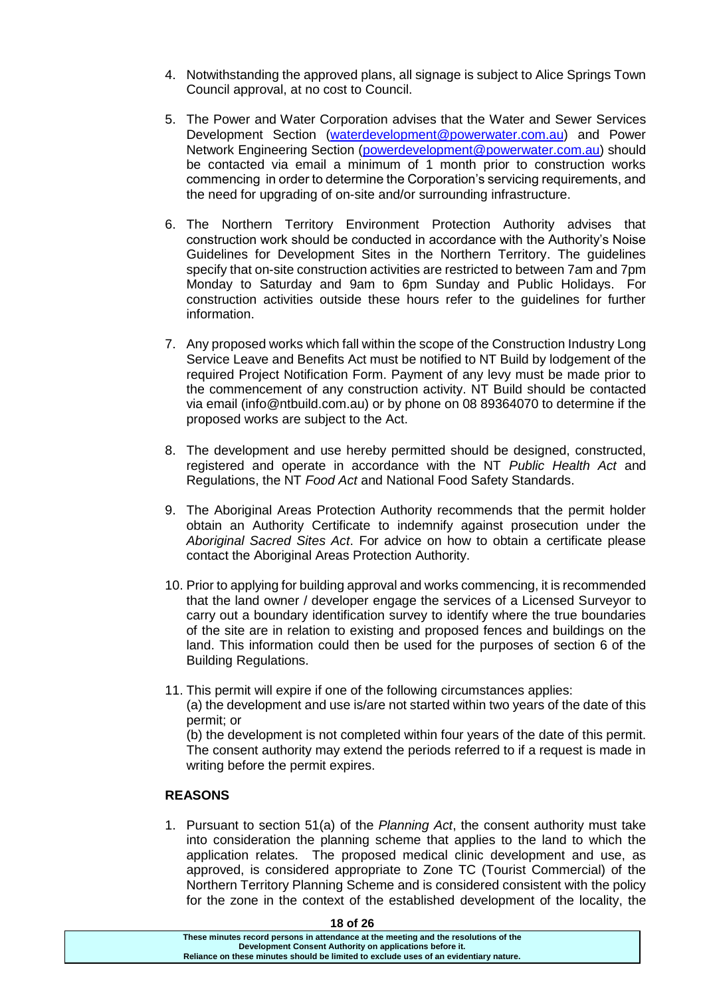- 4. Notwithstanding the approved plans, all signage is subject to Alice Springs Town Council approval, at no cost to Council.
- 5. The Power and Water Corporation advises that the Water and Sewer Services Development Section [\(waterdevelopment@powerwater.com.au\)](mailto:waterdevelopment@powerwater.com.au) and Power Network Engineering Section [\(powerdevelopment@powerwater.com.au\)](mailto:powerdevelopment@powerwater.com.au) should be contacted via email a minimum of 1 month prior to construction works commencing in order to determine the Corporation's servicing requirements, and the need for upgrading of on-site and/or surrounding infrastructure.
- 6. The Northern Territory Environment Protection Authority advises that construction work should be conducted in accordance with the Authority's Noise Guidelines for Development Sites in the Northern Territory. The guidelines specify that on-site construction activities are restricted to between 7am and 7pm Monday to Saturday and 9am to 6pm Sunday and Public Holidays. For construction activities outside these hours refer to the guidelines for further information.
- 7. Any proposed works which fall within the scope of the Construction Industry Long Service Leave and Benefits Act must be notified to NT Build by lodgement of the required Project Notification Form. Payment of any levy must be made prior to the commencement of any construction activity. NT Build should be contacted via email (info@ntbuild.com.au) or by phone on 08 89364070 to determine if the proposed works are subject to the Act.
- 8. The development and use hereby permitted should be designed, constructed, registered and operate in accordance with the NT *Public Health Act* and Regulations, the NT *Food Act* and National Food Safety Standards.
- 9. The Aboriginal Areas Protection Authority recommends that the permit holder obtain an Authority Certificate to indemnify against prosecution under the *Aboriginal Sacred Sites Act*. For advice on how to obtain a certificate please contact the Aboriginal Areas Protection Authority.
- 10. Prior to applying for building approval and works commencing, it is recommended that the land owner / developer engage the services of a Licensed Surveyor to carry out a boundary identification survey to identify where the true boundaries of the site are in relation to existing and proposed fences and buildings on the land. This information could then be used for the purposes of section 6 of the Building Regulations.
- 11. This permit will expire if one of the following circumstances applies: (a) the development and use is/are not started within two years of the date of this permit; or

(b) the development is not completed within four years of the date of this permit. The consent authority may extend the periods referred to if a request is made in writing before the permit expires.

#### **REASONS**

1. Pursuant to section 51(a) of the *Planning Act*, the consent authority must take into consideration the planning scheme that applies to the land to which the application relates. The proposed medical clinic development and use, as approved, is considered appropriate to Zone TC (Tourist Commercial) of the Northern Territory Planning Scheme and is considered consistent with the policy for the zone in the context of the established development of the locality, the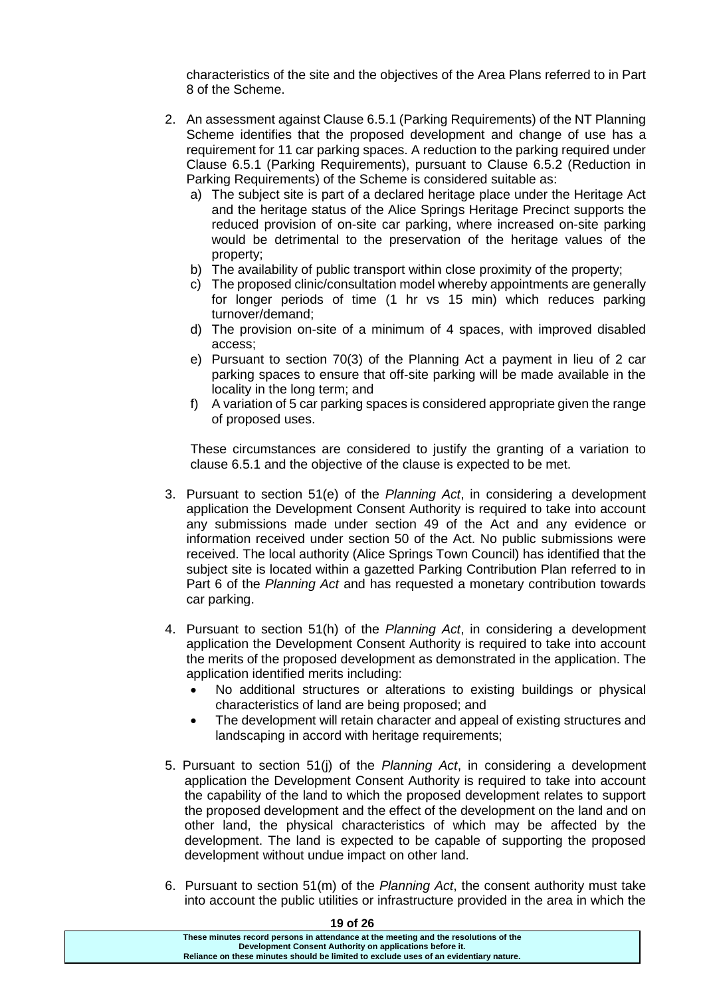characteristics of the site and the objectives of the Area Plans referred to in Part 8 of the Scheme.

- 2. An assessment against Clause 6.5.1 (Parking Requirements) of the NT Planning Scheme identifies that the proposed development and change of use has a requirement for 11 car parking spaces. A reduction to the parking required under Clause 6.5.1 (Parking Requirements), pursuant to Clause 6.5.2 (Reduction in Parking Requirements) of the Scheme is considered suitable as:
	- a) The subject site is part of a declared heritage place under the Heritage Act and the heritage status of the Alice Springs Heritage Precinct supports the reduced provision of on-site car parking, where increased on-site parking would be detrimental to the preservation of the heritage values of the property;
	- b) The availability of public transport within close proximity of the property;
	- c) The proposed clinic/consultation model whereby appointments are generally for longer periods of time (1 hr vs 15 min) which reduces parking turnover/demand;
	- d) The provision on-site of a minimum of 4 spaces, with improved disabled access;
	- e) Pursuant to section 70(3) of the Planning Act a payment in lieu of 2 car parking spaces to ensure that off-site parking will be made available in the locality in the long term; and
	- f) A variation of 5 car parking spaces is considered appropriate given the range of proposed uses.

These circumstances are considered to justify the granting of a variation to clause 6.5.1 and the objective of the clause is expected to be met.

- 3. Pursuant to section 51(e) of the *Planning Act*, in considering a development application the Development Consent Authority is required to take into account any submissions made under section 49 of the Act and any evidence or information received under section 50 of the Act. No public submissions were received. The local authority (Alice Springs Town Council) has identified that the subject site is located within a gazetted Parking Contribution Plan referred to in Part 6 of the *Planning Act* and has requested a monetary contribution towards car parking.
- 4. Pursuant to section 51(h) of the *Planning Act*, in considering a development application the Development Consent Authority is required to take into account the merits of the proposed development as demonstrated in the application. The application identified merits including:
	- No additional structures or alterations to existing buildings or physical characteristics of land are being proposed; and
	- The development will retain character and appeal of existing structures and landscaping in accord with heritage requirements;
- 5. Pursuant to section 51(j) of the *Planning Act*, in considering a development application the Development Consent Authority is required to take into account the capability of the land to which the proposed development relates to support the proposed development and the effect of the development on the land and on other land, the physical characteristics of which may be affected by the development. The land is expected to be capable of supporting the proposed development without undue impact on other land.
- 6. Pursuant to section 51(m) of the *Planning Act*, the consent authority must take into account the public utilities or infrastructure provided in the area in which the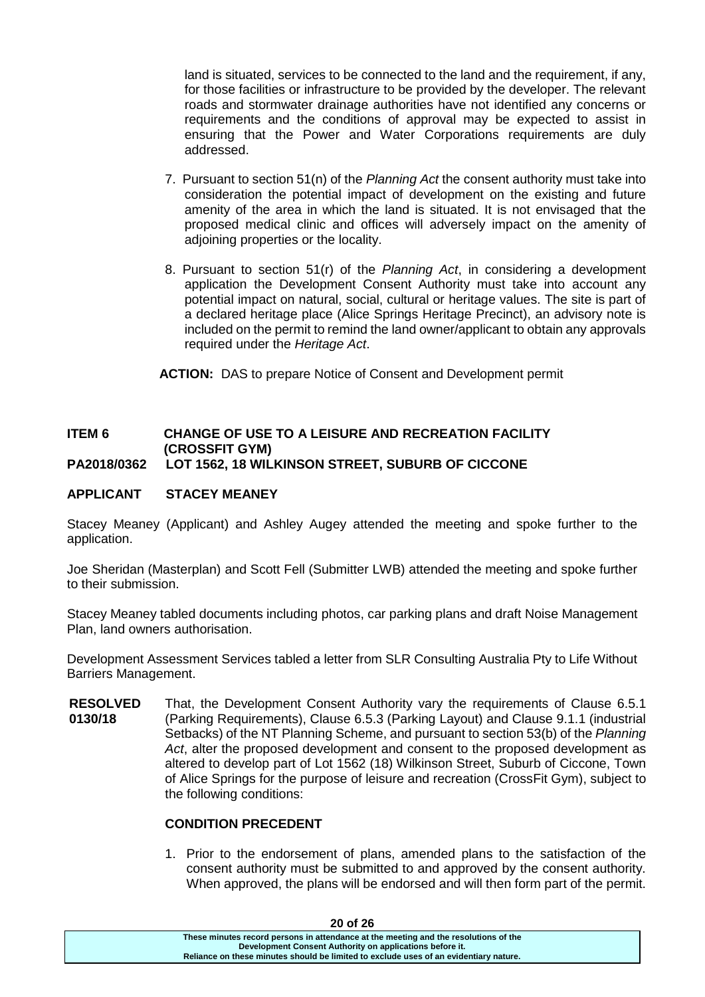land is situated, services to be connected to the land and the requirement, if any, for those facilities or infrastructure to be provided by the developer. The relevant roads and stormwater drainage authorities have not identified any concerns or requirements and the conditions of approval may be expected to assist in ensuring that the Power and Water Corporations requirements are duly addressed.

- 7. Pursuant to section 51(n) of the *Planning Act* the consent authority must take into consideration the potential impact of development on the existing and future amenity of the area in which the land is situated. It is not envisaged that the proposed medical clinic and offices will adversely impact on the amenity of adjoining properties or the locality.
- 8. Pursuant to section 51(r) of the *Planning Act*, in considering a development application the Development Consent Authority must take into account any potential impact on natural, social, cultural or heritage values. The site is part of a declared heritage place (Alice Springs Heritage Precinct), an advisory note is included on the permit to remind the land owner/applicant to obtain any approvals required under the *Heritage Act*.

**ACTION:** DAS to prepare Notice of Consent and Development permit

#### **ITEM 6 CHANGE OF USE TO A LEISURE AND RECREATION FACILITY (CROSSFIT GYM) PA2018/0362 LOT 1562, 18 WILKINSON STREET, SUBURB OF CICCONE**

#### **APPLICANT STACEY MEANEY**

Stacey Meaney (Applicant) and Ashley Augey attended the meeting and spoke further to the application.

Joe Sheridan (Masterplan) and Scott Fell (Submitter LWB) attended the meeting and spoke further to their submission.

Stacey Meaney tabled documents including photos, car parking plans and draft Noise Management Plan, land owners authorisation.

Development Assessment Services tabled a letter from SLR Consulting Australia Pty to Life Without Barriers Management.

**RESOLVED 0130/18** That, the Development Consent Authority vary the requirements of Clause 6.5.1 (Parking Requirements), Clause 6.5.3 (Parking Layout) and Clause 9.1.1 (industrial Setbacks) of the NT Planning Scheme, and pursuant to section 53(b) of the *Planning Act*, alter the proposed development and consent to the proposed development as altered to develop part of Lot 1562 (18) Wilkinson Street, Suburb of Ciccone, Town of Alice Springs for the purpose of leisure and recreation (CrossFit Gym), subject to the following conditions:

#### **CONDITION PRECEDENT**

1. Prior to the endorsement of plans, amended plans to the satisfaction of the consent authority must be submitted to and approved by the consent authority. When approved, the plans will be endorsed and will then form part of the permit.

| <b>ZU OT ZO</b>                                                                       |  |
|---------------------------------------------------------------------------------------|--|
| These minutes record persons in attendance at the meeting and the resolutions of the  |  |
| Development Consent Authority on applications before it.                              |  |
| Reliance on these minutes should be limited to exclude uses of an evidentiary nature. |  |
|                                                                                       |  |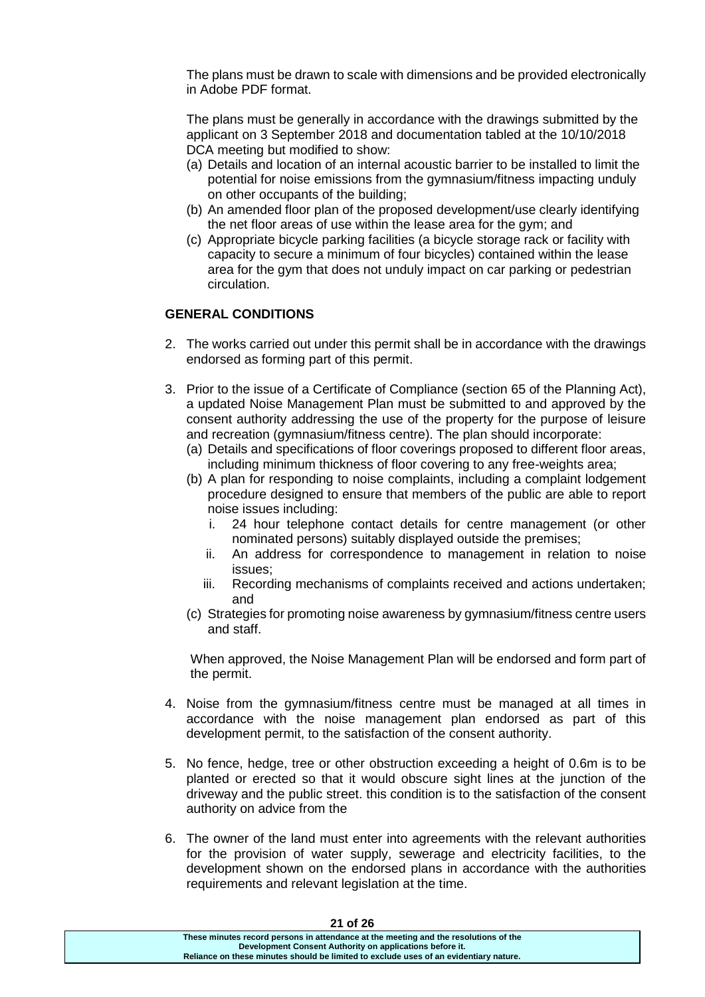The plans must be drawn to scale with dimensions and be provided electronically in Adobe PDF format.

The plans must be generally in accordance with the drawings submitted by the applicant on 3 September 2018 and documentation tabled at the 10/10/2018 DCA meeting but modified to show:

- (a) Details and location of an internal acoustic barrier to be installed to limit the potential for noise emissions from the gymnasium/fitness impacting unduly on other occupants of the building;
- (b) An amended floor plan of the proposed development/use clearly identifying the net floor areas of use within the lease area for the gym; and
- (c) Appropriate bicycle parking facilities (a bicycle storage rack or facility with capacity to secure a minimum of four bicycles) contained within the lease area for the gym that does not unduly impact on car parking or pedestrian circulation.

### **GENERAL CONDITIONS**

- 2. The works carried out under this permit shall be in accordance with the drawings endorsed as forming part of this permit.
- 3. Prior to the issue of a Certificate of Compliance (section 65 of the Planning Act), a updated Noise Management Plan must be submitted to and approved by the consent authority addressing the use of the property for the purpose of leisure and recreation (gymnasium/fitness centre). The plan should incorporate:
	- (a) Details and specifications of floor coverings proposed to different floor areas, including minimum thickness of floor covering to any free-weights area;
	- (b) A plan for responding to noise complaints, including a complaint lodgement procedure designed to ensure that members of the public are able to report noise issues including:
		- i. 24 hour telephone contact details for centre management (or other nominated persons) suitably displayed outside the premises;
		- ii. An address for correspondence to management in relation to noise issues;
		- iii. Recording mechanisms of complaints received and actions undertaken; and
	- (c) Strategies for promoting noise awareness by gymnasium/fitness centre users and staff.

When approved, the Noise Management Plan will be endorsed and form part of the permit.

- 4. Noise from the gymnasium/fitness centre must be managed at all times in accordance with the noise management plan endorsed as part of this development permit, to the satisfaction of the consent authority.
- 5. No fence, hedge, tree or other obstruction exceeding a height of 0.6m is to be planted or erected so that it would obscure sight lines at the junction of the driveway and the public street. this condition is to the satisfaction of the consent authority on advice from the
- 6. The owner of the land must enter into agreements with the relevant authorities for the provision of water supply, sewerage and electricity facilities, to the development shown on the endorsed plans in accordance with the authorities requirements and relevant legislation at the time.

| ZI UIZD                                                                               |  |
|---------------------------------------------------------------------------------------|--|
| These minutes record persons in attendance at the meeting and the resolutions of the  |  |
| Development Consent Authority on applications before it.                              |  |
| Reliance on these minutes should be limited to exclude uses of an evidentiary nature. |  |
|                                                                                       |  |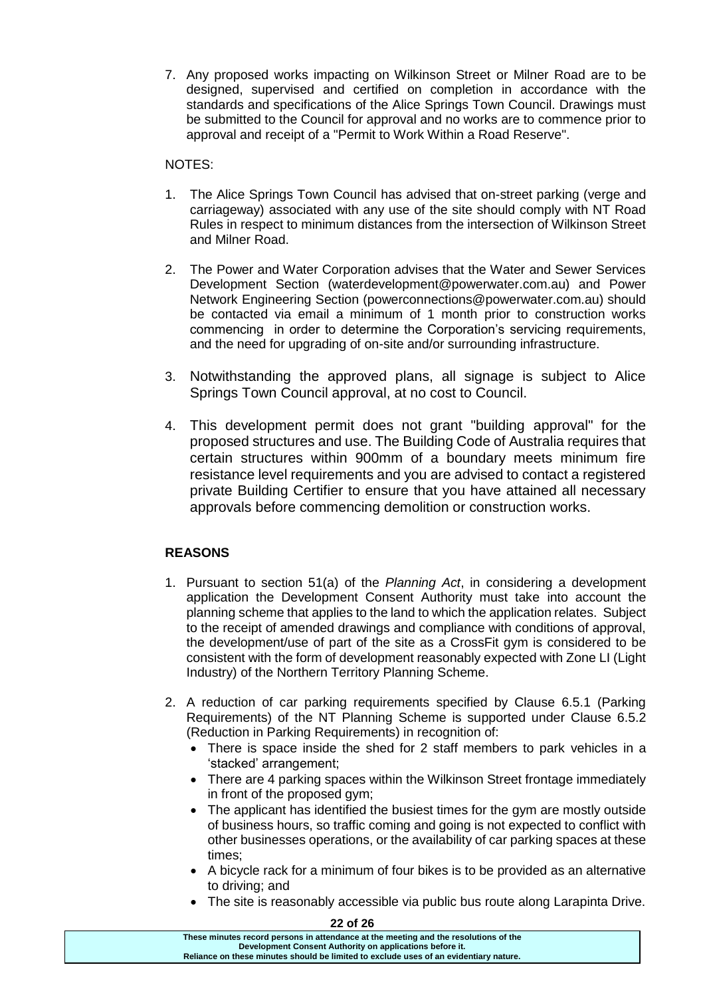7. Any proposed works impacting on Wilkinson Street or Milner Road are to be designed, supervised and certified on completion in accordance with the standards and specifications of the Alice Springs Town Council. Drawings must be submitted to the Council for approval and no works are to commence prior to approval and receipt of a "Permit to Work Within a Road Reserve".

## NOTES:

- 1. The Alice Springs Town Council has advised that on-street parking (verge and carriageway) associated with any use of the site should comply with NT Road Rules in respect to minimum distances from the intersection of Wilkinson Street and Milner Road.
- 2. The Power and Water Corporation advises that the Water and Sewer Services Development Section (waterdevelopment@powerwater.com.au) and Power Network Engineering Section (powerconnections@powerwater.com.au) should be contacted via email a minimum of 1 month prior to construction works commencing in order to determine the Corporation's servicing requirements, and the need for upgrading of on-site and/or surrounding infrastructure.
- 3. Notwithstanding the approved plans, all signage is subject to Alice Springs Town Council approval, at no cost to Council.
- 4. This development permit does not grant "building approval" for the proposed structures and use. The Building Code of Australia requires that certain structures within 900mm of a boundary meets minimum fire resistance level requirements and you are advised to contact a registered private Building Certifier to ensure that you have attained all necessary approvals before commencing demolition or construction works.

# **REASONS**

- 1. Pursuant to section 51(a) of the *Planning Act*, in considering a development application the Development Consent Authority must take into account the planning scheme that applies to the land to which the application relates. Subject to the receipt of amended drawings and compliance with conditions of approval, the development/use of part of the site as a CrossFit gym is considered to be consistent with the form of development reasonably expected with Zone LI (Light Industry) of the Northern Territory Planning Scheme.
- 2. A reduction of car parking requirements specified by Clause 6.5.1 (Parking Requirements) of the NT Planning Scheme is supported under Clause 6.5.2 (Reduction in Parking Requirements) in recognition of:
	- There is space inside the shed for 2 staff members to park vehicles in a 'stacked' arrangement;
	- There are 4 parking spaces within the Wilkinson Street frontage immediately in front of the proposed gym;
	- The applicant has identified the busiest times for the gym are mostly outside of business hours, so traffic coming and going is not expected to conflict with other businesses operations, or the availability of car parking spaces at these times;
	- A bicycle rack for a minimum of four bikes is to be provided as an alternative to driving; and
	- The site is reasonably accessible via public bus route along Larapinta Drive.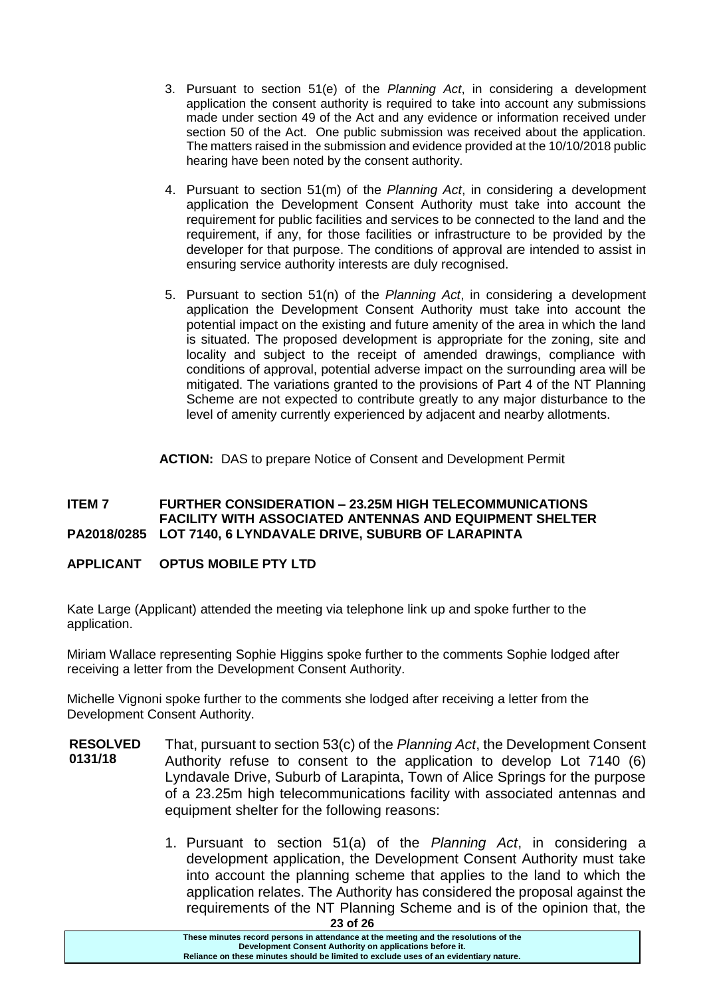- 3. Pursuant to section 51(e) of the *Planning Act*, in considering a development application the consent authority is required to take into account any submissions made under section 49 of the Act and any evidence or information received under section 50 of the Act. One public submission was received about the application. The matters raised in the submission and evidence provided at the 10/10/2018 public hearing have been noted by the consent authority.
- 4. Pursuant to section 51(m) of the *Planning Act*, in considering a development application the Development Consent Authority must take into account the requirement for public facilities and services to be connected to the land and the requirement, if any, for those facilities or infrastructure to be provided by the developer for that purpose. The conditions of approval are intended to assist in ensuring service authority interests are duly recognised.
- 5. Pursuant to section 51(n) of the *Planning Act*, in considering a development application the Development Consent Authority must take into account the potential impact on the existing and future amenity of the area in which the land is situated. The proposed development is appropriate for the zoning, site and locality and subject to the receipt of amended drawings, compliance with conditions of approval, potential adverse impact on the surrounding area will be mitigated. The variations granted to the provisions of Part 4 of the NT Planning Scheme are not expected to contribute greatly to any major disturbance to the level of amenity currently experienced by adjacent and nearby allotments.

**ACTION:** DAS to prepare Notice of Consent and Development Permit

#### **ITEM 7 FURTHER CONSIDERATION – 23.25M HIGH TELECOMMUNICATIONS FACILITY WITH ASSOCIATED ANTENNAS AND EQUIPMENT SHELTER PA2018/0285 LOT 7140, 6 LYNDAVALE DRIVE, SUBURB OF LARAPINTA**

# **APPLICANT OPTUS MOBILE PTY LTD**

Kate Large (Applicant) attended the meeting via telephone link up and spoke further to the application.

Miriam Wallace representing Sophie Higgins spoke further to the comments Sophie lodged after receiving a letter from the Development Consent Authority.

Michelle Vignoni spoke further to the comments she lodged after receiving a letter from the Development Consent Authority.

- **RESOLVED 0131/18** That, pursuant to section 53(c) of the *Planning Act*, the Development Consent Authority refuse to consent to the application to develop Lot 7140 (6) Lyndavale Drive, Suburb of Larapinta, Town of Alice Springs for the purpose of a 23.25m high telecommunications facility with associated antennas and equipment shelter for the following reasons:
	- 1. Pursuant to section 51(a) of the *Planning Act*, in considering a development application, the Development Consent Authority must take into account the planning scheme that applies to the land to which the application relates. The Authority has considered the proposal against the requirements of the NT Planning Scheme and is of the opinion that, the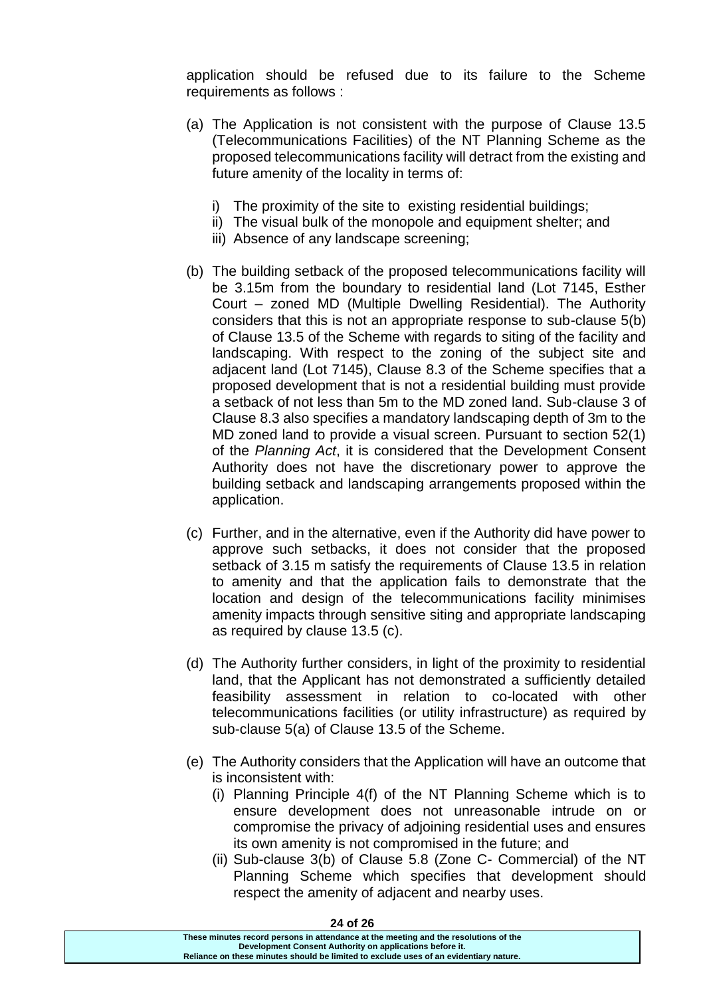application should be refused due to its failure to the Scheme requirements as follows :

- (a) The Application is not consistent with the purpose of Clause 13.5 (Telecommunications Facilities) of the NT Planning Scheme as the proposed telecommunications facility will detract from the existing and future amenity of the locality in terms of:
	- i) The proximity of the site to existing residential buildings;
	- ii) The visual bulk of the monopole and equipment shelter; and
	- iii) Absence of any landscape screening;
- (b) The building setback of the proposed telecommunications facility will be 3.15m from the boundary to residential land (Lot 7145, Esther Court – zoned MD (Multiple Dwelling Residential). The Authority considers that this is not an appropriate response to sub-clause 5(b) of Clause 13.5 of the Scheme with regards to siting of the facility and landscaping. With respect to the zoning of the subject site and adjacent land (Lot 7145), Clause 8.3 of the Scheme specifies that a proposed development that is not a residential building must provide a setback of not less than 5m to the MD zoned land. Sub-clause 3 of Clause 8.3 also specifies a mandatory landscaping depth of 3m to the MD zoned land to provide a visual screen. Pursuant to section 52(1) of the *Planning Act*, it is considered that the Development Consent Authority does not have the discretionary power to approve the building setback and landscaping arrangements proposed within the application.
- (c) Further, and in the alternative, even if the Authority did have power to approve such setbacks, it does not consider that the proposed setback of 3.15 m satisfy the requirements of Clause 13.5 in relation to amenity and that the application fails to demonstrate that the location and design of the telecommunications facility minimises amenity impacts through sensitive siting and appropriate landscaping as required by clause 13.5 (c).
- (d) The Authority further considers, in light of the proximity to residential land, that the Applicant has not demonstrated a sufficiently detailed feasibility assessment in relation to co-located with other telecommunications facilities (or utility infrastructure) as required by sub-clause 5(a) of Clause 13.5 of the Scheme.
- (e) The Authority considers that the Application will have an outcome that is inconsistent with:
	- (i) Planning Principle 4(f) of the NT Planning Scheme which is to ensure development does not unreasonable intrude on or compromise the privacy of adjoining residential uses and ensures its own amenity is not compromised in the future; and
	- (ii) Sub-clause 3(b) of Clause 5.8 (Zone C- Commercial) of the NT Planning Scheme which specifies that development should respect the amenity of adjacent and nearby uses.

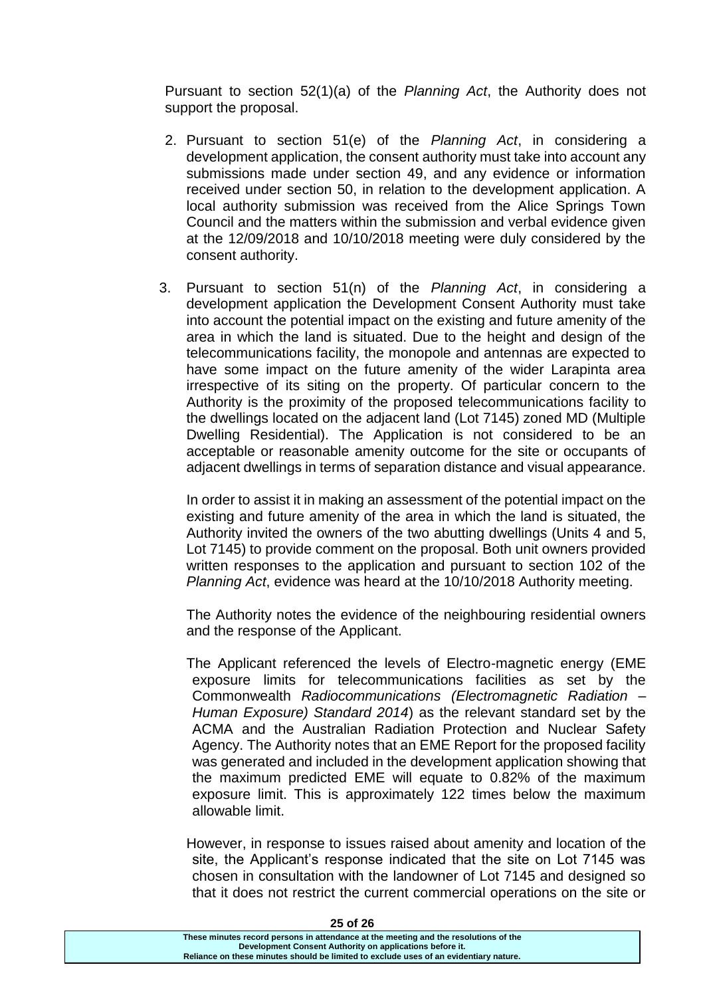Pursuant to section 52(1)(a) of the *Planning Act*, the Authority does not support the proposal.

- 2. Pursuant to section 51(e) of the *Planning Act*, in considering a development application, the consent authority must take into account any submissions made under section 49, and any evidence or information received under section 50, in relation to the development application. A local authority submission was received from the Alice Springs Town Council and the matters within the submission and verbal evidence given at the 12/09/2018 and 10/10/2018 meeting were duly considered by the consent authority.
- 3. Pursuant to section 51(n) of the *Planning Act*, in considering a development application the Development Consent Authority must take into account the potential impact on the existing and future amenity of the area in which the land is situated. Due to the height and design of the telecommunications facility, the monopole and antennas are expected to have some impact on the future amenity of the wider Larapinta area irrespective of its siting on the property. Of particular concern to the Authority is the proximity of the proposed telecommunications facility to the dwellings located on the adjacent land (Lot 7145) zoned MD (Multiple Dwelling Residential). The Application is not considered to be an acceptable or reasonable amenity outcome for the site or occupants of adjacent dwellings in terms of separation distance and visual appearance.

In order to assist it in making an assessment of the potential impact on the existing and future amenity of the area in which the land is situated, the Authority invited the owners of the two abutting dwellings (Units 4 and 5, Lot 7145) to provide comment on the proposal. Both unit owners provided written responses to the application and pursuant to section 102 of the *Planning Act*, evidence was heard at the 10/10/2018 Authority meeting.

The Authority notes the evidence of the neighbouring residential owners and the response of the Applicant.

The Applicant referenced the levels of Electro-magnetic energy (EME exposure limits for telecommunications facilities as set by the Commonwealth *Radiocommunications (Electromagnetic Radiation – Human Exposure) Standard 2014*) as the relevant standard set by the ACMA and the Australian Radiation Protection and Nuclear Safety Agency. The Authority notes that an EME Report for the proposed facility was generated and included in the development application showing that the maximum predicted EME will equate to 0.82% of the maximum exposure limit. This is approximately 122 times below the maximum allowable limit.

However, in response to issues raised about amenity and location of the site, the Applicant's response indicated that the site on Lot 7145 was chosen in consultation with the landowner of Lot 7145 and designed so that it does not restrict the current commercial operations on the site or

**25 of 26**